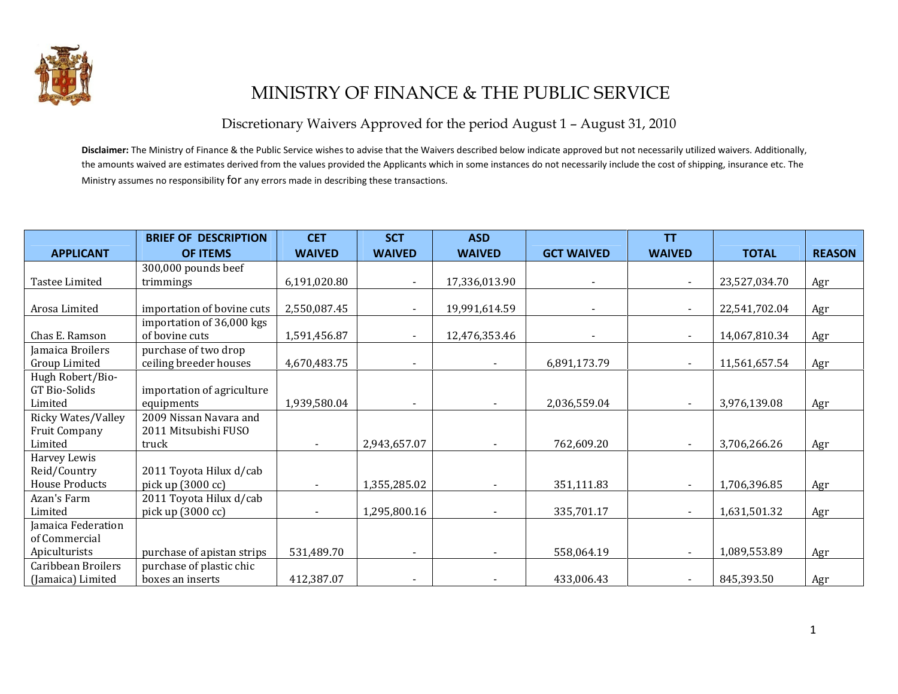

## MINISTRY OF FINANCE & THE PUBLIC SERVICE

Discretionary Waivers Approved for the period August 1 – August 31, 2010

Disclaimer: The Ministry of Finance & the Public Service wishes to advise that the Waivers described below indicate approved but not necessarily utilized waivers. Additionally, the amounts waived are estimates derived from the values provided the Applicants which in some instances do not necessarily include the cost of shipping, insurance etc. The Ministry assumes no responsibility for any errors made in describing these transactions.

|                       | <b>BRIEF OF DESCRIPTION</b> | <b>CET</b>    | <b>SCT</b>     | <b>ASD</b>    |                   | <b>TT</b>      |               |               |
|-----------------------|-----------------------------|---------------|----------------|---------------|-------------------|----------------|---------------|---------------|
| <b>APPLICANT</b>      | <b>OF ITEMS</b>             | <b>WAIVED</b> | <b>WAIVED</b>  | <b>WAIVED</b> | <b>GCT WAIVED</b> | <b>WAIVED</b>  | <b>TOTAL</b>  | <b>REASON</b> |
|                       | 300,000 pounds beef         |               |                |               |                   |                |               |               |
| Tastee Limited        | trimmings                   | 6,191,020.80  |                | 17,336,013.90 |                   |                | 23,527,034.70 | Agr           |
|                       |                             |               |                |               |                   |                |               |               |
| Arosa Limited         | importation of bovine cuts  | 2,550,087.45  | $\blacksquare$ | 19,991,614.59 |                   |                | 22,541,702.04 | Agr           |
|                       | importation of 36,000 kgs   |               |                |               |                   |                |               |               |
| Chas E. Ramson        | of bovine cuts              | 1,591,456.87  |                | 12,476,353.46 |                   |                | 14,067,810.34 | Agr           |
| Jamaica Broilers      | purchase of two drop        |               |                |               |                   |                |               |               |
| Group Limited         | ceiling breeder houses      | 4,670,483.75  |                |               | 6,891,173.79      |                | 11,561,657.54 | Agr           |
| Hugh Robert/Bio-      |                             |               |                |               |                   |                |               |               |
| GT Bio-Solids         | importation of agriculture  |               |                |               |                   |                |               |               |
| Limited               | equipments                  | 1,939,580.04  |                |               | 2,036,559.04      | $\blacksquare$ | 3,976,139.08  | Agr           |
| Ricky Wates/Valley    | 2009 Nissan Navara and      |               |                |               |                   |                |               |               |
| <b>Fruit Company</b>  | 2011 Mitsubishi FUSO        |               |                |               |                   |                |               |               |
| Limited               | truck                       |               | 2,943,657.07   |               | 762,609.20        |                | 3,706,266.26  | Agr           |
| Harvey Lewis          |                             |               |                |               |                   |                |               |               |
| Reid/Country          | 2011 Toyota Hilux d/cab     |               |                |               |                   |                |               |               |
| <b>House Products</b> | pick up (3000 cc)           |               | 1,355,285.02   |               | 351,111.83        | $\blacksquare$ | 1,706,396.85  | Agr           |
| Azan's Farm           | 2011 Toyota Hilux d/cab     |               |                |               |                   |                |               |               |
| Limited               | pick up (3000 cc)           |               | 1,295,800.16   |               | 335,701.17        |                | 1,631,501.32  | Agr           |
| Jamaica Federation    |                             |               |                |               |                   |                |               |               |
| of Commercial         |                             |               |                |               |                   |                |               |               |
| Apiculturists         | purchase of apistan strips  | 531,489.70    | $\blacksquare$ |               | 558,064.19        | $\blacksquare$ | 1,089,553.89  | Agr           |
| Caribbean Broilers    | purchase of plastic chic    |               |                |               |                   |                |               |               |
| (Jamaica) Limited     | boxes an inserts            | 412,387.07    |                |               | 433,006.43        |                | 845,393.50    | Agr           |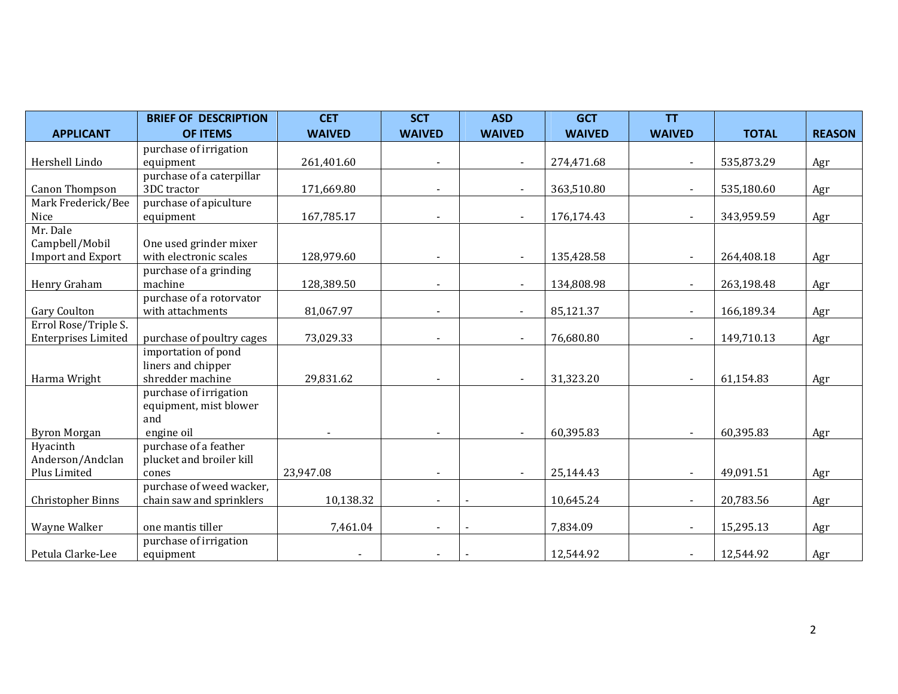|                            | <b>BRIEF OF DESCRIPTION</b> | <b>CET</b>    | <b>SCT</b>    | <b>ASD</b>               | <b>GCT</b>    | <b>TT</b>      |              |               |
|----------------------------|-----------------------------|---------------|---------------|--------------------------|---------------|----------------|--------------|---------------|
| <b>APPLICANT</b>           | <b>OF ITEMS</b>             | <b>WAIVED</b> | <b>WAIVED</b> | <b>WAIVED</b>            | <b>WAIVED</b> | <b>WAIVED</b>  | <b>TOTAL</b> | <b>REASON</b> |
|                            | purchase of irrigation      |               |               |                          |               |                |              |               |
| Hershell Lindo             | equipment                   | 261,401.60    |               | $\blacksquare$           | 274,471.68    | $\blacksquare$ | 535,873.29   | Agr           |
|                            | purchase of a caterpillar   |               |               |                          |               |                |              |               |
| Canon Thompson             | 3DC tractor                 | 171,669.80    |               | $\blacksquare$           | 363,510.80    |                | 535,180.60   | Agr           |
| Mark Frederick/Bee         | purchase of apiculture      |               |               |                          |               |                |              |               |
| Nice                       | equipment                   | 167,785.17    |               | $\blacksquare$           | 176,174.43    | $\blacksquare$ | 343,959.59   | Agr           |
| Mr. Dale                   |                             |               |               |                          |               |                |              |               |
| Campbell/Mobil             | One used grinder mixer      |               |               |                          |               |                |              |               |
| <b>Import and Export</b>   | with electronic scales      | 128,979.60    |               | $\blacksquare$           | 135,428.58    | $\blacksquare$ | 264,408.18   | Agr           |
|                            | purchase of a grinding      |               |               |                          |               |                |              |               |
| Henry Graham               | machine                     | 128,389.50    |               | $\blacksquare$           | 134,808.98    | $\blacksquare$ | 263,198.48   | Agr           |
|                            | purchase of a rotorvator    |               |               |                          |               |                |              |               |
| Gary Coulton               | with attachments            | 81,067.97     |               | $\blacksquare$           | 85,121.37     | $\blacksquare$ | 166,189.34   | Agr           |
| Errol Rose/Triple S.       |                             |               |               |                          |               |                |              |               |
| <b>Enterprises Limited</b> | purchase of poultry cages   | 73,029.33     |               | $\overline{\phantom{a}}$ | 76,680.80     |                | 149,710.13   | Agr           |
|                            | importation of pond         |               |               |                          |               |                |              |               |
|                            | liners and chipper          |               |               |                          |               |                |              |               |
| Harma Wright               | shredder machine            | 29,831.62     |               | $\sim$                   | 31,323.20     | $\blacksquare$ | 61,154.83    | Agr           |
|                            | purchase of irrigation      |               |               |                          |               |                |              |               |
|                            | equipment, mist blower      |               |               |                          |               |                |              |               |
|                            | and                         |               |               |                          |               |                |              |               |
| <b>Byron Morgan</b>        | engine oil                  |               |               | $\blacksquare$           | 60,395.83     | $\blacksquare$ | 60,395.83    | Agr           |
| Hyacinth                   | purchase of a feather       |               |               |                          |               |                |              |               |
| Anderson/Andclan           | plucket and broiler kill    |               |               |                          |               |                |              |               |
| Plus Limited               | cones                       | 23,947.08     |               |                          | 25,144.43     |                | 49,091.51    | Agr           |
|                            | purchase of weed wacker,    |               |               |                          |               |                |              |               |
| Christopher Binns          | chain saw and sprinklers    | 10,138.32     |               |                          | 10,645.24     |                | 20,783.56    | Agr           |
|                            |                             |               |               |                          |               |                |              |               |
| Wayne Walker               | one mantis tiller           | 7,461.04      |               |                          | 7,834.09      |                | 15,295.13    | Agr           |
|                            | purchase of irrigation      |               |               |                          |               |                |              |               |
| Petula Clarke-Lee          | equipment                   |               |               |                          | 12,544.92     | $\blacksquare$ | 12,544.92    | Agr           |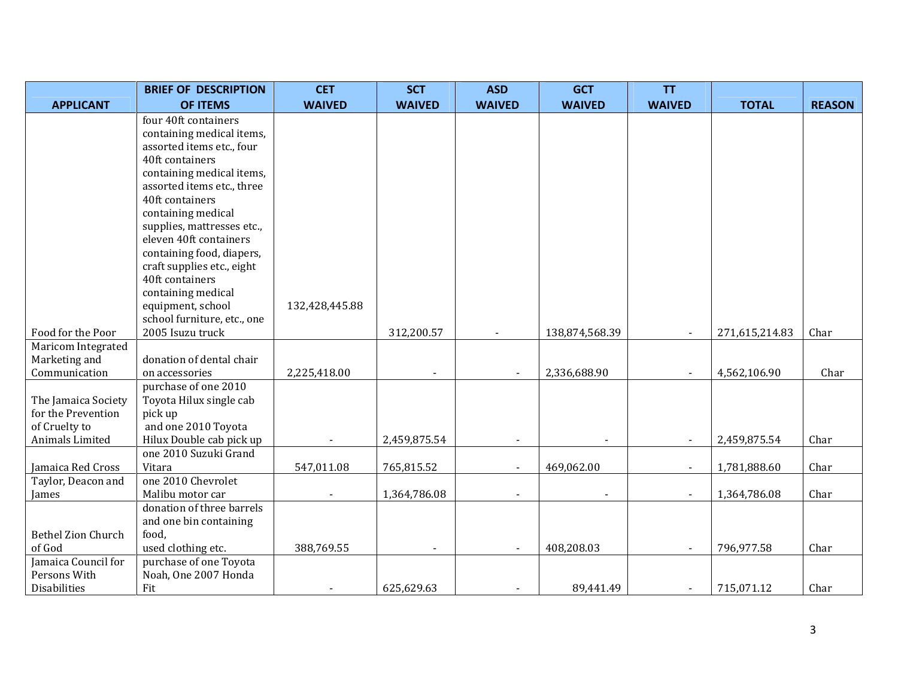|                           | <b>BRIEF OF DESCRIPTION</b>                      | <b>CET</b>     | <b>SCT</b>               | <b>ASD</b>    | <b>GCT</b>     | <b>TT</b>      |                |               |
|---------------------------|--------------------------------------------------|----------------|--------------------------|---------------|----------------|----------------|----------------|---------------|
| <b>APPLICANT</b>          | <b>OF ITEMS</b>                                  | <b>WAIVED</b>  | <b>WAIVED</b>            | <b>WAIVED</b> | <b>WAIVED</b>  | <b>WAIVED</b>  | <b>TOTAL</b>   | <b>REASON</b> |
|                           | four 40ft containers                             |                |                          |               |                |                |                |               |
|                           | containing medical items,                        |                |                          |               |                |                |                |               |
|                           | assorted items etc., four                        |                |                          |               |                |                |                |               |
|                           | 40ft containers                                  |                |                          |               |                |                |                |               |
|                           | containing medical items,                        |                |                          |               |                |                |                |               |
|                           | assorted items etc., three                       |                |                          |               |                |                |                |               |
|                           | 40ft containers                                  |                |                          |               |                |                |                |               |
|                           | containing medical                               |                |                          |               |                |                |                |               |
|                           | supplies, mattresses etc.,                       |                |                          |               |                |                |                |               |
|                           | eleven 40ft containers                           |                |                          |               |                |                |                |               |
|                           | containing food, diapers,                        |                |                          |               |                |                |                |               |
|                           | craft supplies etc., eight                       |                |                          |               |                |                |                |               |
|                           | 40ft containers                                  |                |                          |               |                |                |                |               |
|                           | containing medical                               |                |                          |               |                |                |                |               |
|                           | equipment, school<br>school furniture, etc., one | 132,428,445.88 |                          |               |                |                |                |               |
| Food for the Poor         | 2005 Isuzu truck                                 |                |                          |               | 138,874,568.39 |                |                | Char          |
| Maricom Integrated        |                                                  |                | 312,200.57               |               |                |                | 271,615,214.83 |               |
| Marketing and             | donation of dental chair                         |                |                          |               |                |                |                |               |
| Communication             | on accessories                                   | 2,225,418.00   | $\blacksquare$           |               | 2,336,688.90   | $\blacksquare$ | 4,562,106.90   | Char          |
|                           | purchase of one 2010                             |                |                          |               |                |                |                |               |
| The Jamaica Society       | Toyota Hilux single cab                          |                |                          |               |                |                |                |               |
| for the Prevention        | pick up                                          |                |                          |               |                |                |                |               |
| of Cruelty to             | and one 2010 Toyota                              |                |                          |               |                |                |                |               |
| Animals Limited           | Hilux Double cab pick up                         |                | 2,459,875.54             |               |                |                | 2,459,875.54   | Char          |
|                           | one 2010 Suzuki Grand                            |                |                          |               |                |                |                |               |
| Jamaica Red Cross         | Vitara                                           | 547,011.08     | 765,815.52               |               | 469,062.00     |                | 1,781,888.60   | Char          |
| Taylor, Deacon and        | one 2010 Chevrolet                               |                |                          |               |                |                |                |               |
| James                     | Malibu motor car                                 |                | 1,364,786.08             |               |                |                | 1,364,786.08   | Char          |
|                           | donation of three barrels                        |                |                          |               |                |                |                |               |
|                           | and one bin containing                           |                |                          |               |                |                |                |               |
| <b>Bethel Zion Church</b> | food,                                            |                |                          |               |                |                |                |               |
| of God                    | used clothing etc.                               | 388,769.55     | $\overline{\phantom{a}}$ |               | 408,208.03     | $\blacksquare$ | 796,977.58     | Char          |
| Jamaica Council for       | purchase of one Toyota                           |                |                          |               |                |                |                |               |
| Persons With              | Noah, One 2007 Honda                             |                |                          |               |                |                |                |               |
| Disabilities              | Fit                                              |                | 625,629.63               |               | 89,441.49      | $\blacksquare$ | 715,071.12     | Char          |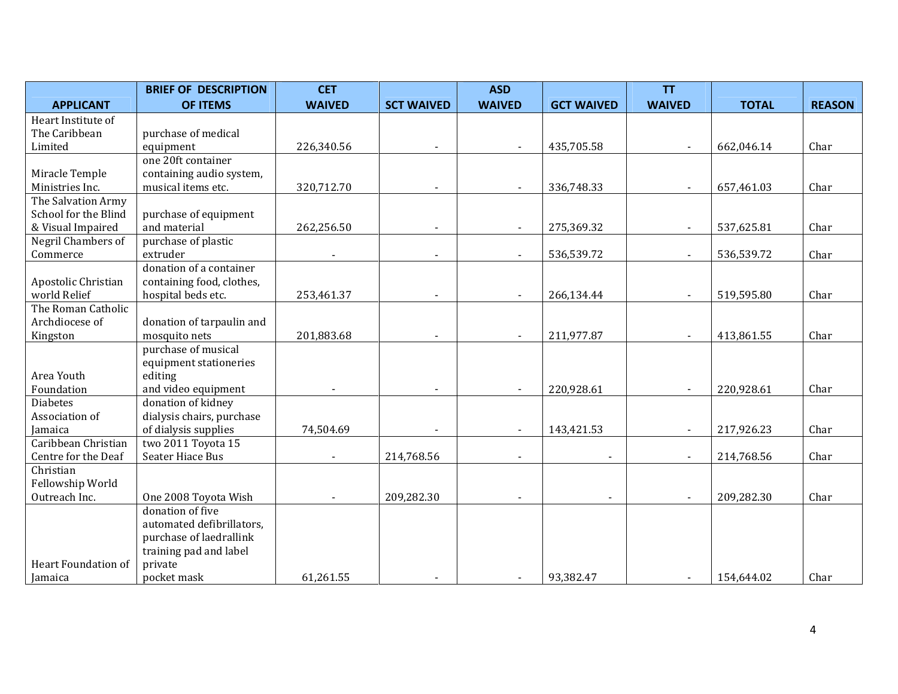|                      | <b>BRIEF OF DESCRIPTION</b>       | <b>CET</b>    |                   | <b>ASD</b>               |                   | <b>TT</b>                |              |               |
|----------------------|-----------------------------------|---------------|-------------------|--------------------------|-------------------|--------------------------|--------------|---------------|
| <b>APPLICANT</b>     | <b>OF ITEMS</b>                   | <b>WAIVED</b> | <b>SCT WAIVED</b> | <b>WAIVED</b>            | <b>GCT WAIVED</b> | <b>WAIVED</b>            | <b>TOTAL</b> | <b>REASON</b> |
| Heart Institute of   |                                   |               |                   |                          |                   |                          |              |               |
| The Caribbean        | purchase of medical               |               |                   |                          |                   |                          |              |               |
| Limited              | equipment                         | 226,340.56    |                   |                          | 435,705.58        |                          | 662,046.14   | Char          |
|                      | one 20ft container                |               |                   |                          |                   |                          |              |               |
| Miracle Temple       | containing audio system,          |               |                   |                          |                   |                          |              |               |
| Ministries Inc.      | musical items etc.                | 320,712.70    |                   |                          | 336,748.33        | $\blacksquare$           | 657,461.03   | Char          |
| The Salvation Army   |                                   |               |                   |                          |                   |                          |              |               |
| School for the Blind | purchase of equipment             |               |                   |                          |                   |                          |              |               |
| & Visual Impaired    | and material                      | 262,256.50    |                   | $\blacksquare$           | 275,369.32        | $\blacksquare$           | 537,625.81   | Char          |
| Negril Chambers of   | purchase of plastic               |               |                   |                          |                   |                          |              |               |
| Commerce             | extruder                          |               |                   |                          | 536,539.72        | $\blacksquare$           | 536,539.72   | Char          |
|                      | donation of a container           |               |                   |                          |                   |                          |              |               |
| Apostolic Christian  | containing food, clothes,         |               |                   |                          |                   |                          |              |               |
| world Relief         | hospital beds etc.                | 253,461.37    |                   |                          | 266,134.44        | $\blacksquare$           | 519,595.80   | Char          |
| The Roman Catholic   |                                   |               |                   |                          |                   |                          |              |               |
| Archdiocese of       | donation of tarpaulin and         |               |                   |                          |                   |                          |              |               |
| Kingston             | mosquito nets                     | 201,883.68    |                   |                          | 211,977.87        | $\blacksquare$           | 413,861.55   | Char          |
|                      | purchase of musical               |               |                   |                          |                   |                          |              |               |
| Area Youth           | equipment stationeries<br>editing |               |                   |                          |                   |                          |              |               |
| Foundation           | and video equipment               |               |                   |                          | 220,928.61        | $\blacksquare$           | 220,928.61   | Char          |
| <b>Diabetes</b>      | donation of kidney                |               |                   |                          |                   |                          |              |               |
| Association of       | dialysis chairs, purchase         |               |                   |                          |                   |                          |              |               |
| Jamaica              | of dialysis supplies              | 74,504.69     |                   | $\overline{\phantom{a}}$ | 143,421.53        | $\blacksquare$           | 217,926.23   | Char          |
| Caribbean Christian  | two 2011 Toyota 15                |               |                   |                          |                   |                          |              |               |
| Centre for the Deaf  | Seater Hiace Bus                  |               | 214,768.56        |                          |                   | $\overline{\phantom{a}}$ | 214,768.56   | Char          |
| Christian            |                                   |               |                   |                          |                   |                          |              |               |
| Fellowship World     |                                   |               |                   |                          |                   |                          |              |               |
| Outreach Inc.        | One 2008 Toyota Wish              |               | 209,282.30        |                          | $\overline{a}$    | $\blacksquare$           | 209,282.30   | Char          |
|                      | donation of five                  |               |                   |                          |                   |                          |              |               |
|                      | automated defibrillators,         |               |                   |                          |                   |                          |              |               |
|                      | purchase of laedrallink           |               |                   |                          |                   |                          |              |               |
|                      | training pad and label            |               |                   |                          |                   |                          |              |               |
| Heart Foundation of  | private                           |               |                   |                          |                   |                          |              |               |
| Jamaica              | pocket mask                       | 61,261.55     |                   |                          | 93,382.47         | $\overline{\phantom{a}}$ | 154,644.02   | Char          |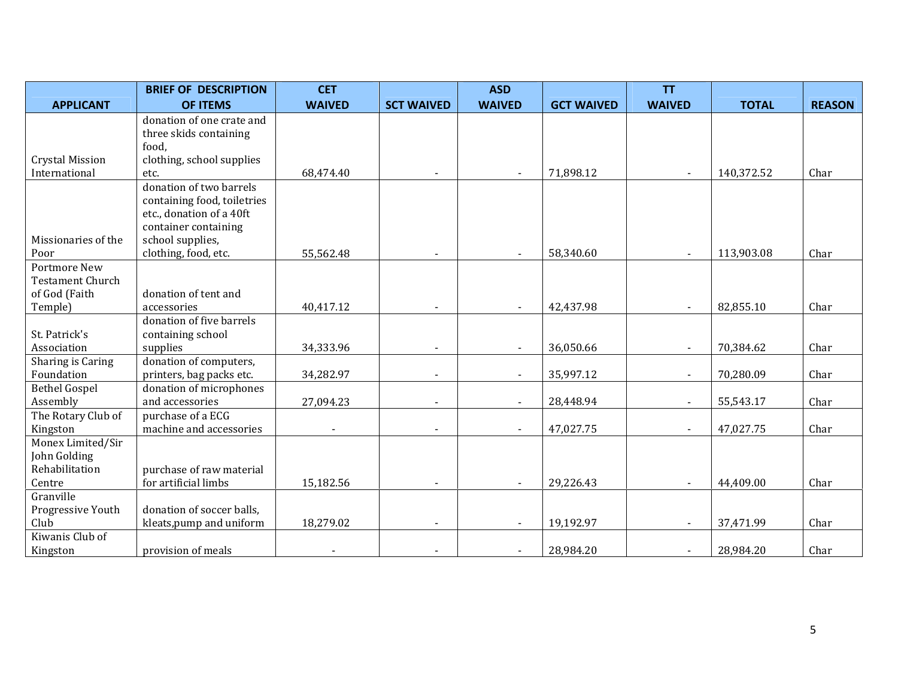|                         | <b>BRIEF OF DESCRIPTION</b>                      | <b>CET</b>    |                          | <b>ASD</b>     |                   | <b>TT</b>      |              |               |
|-------------------------|--------------------------------------------------|---------------|--------------------------|----------------|-------------------|----------------|--------------|---------------|
| <b>APPLICANT</b>        | <b>OF ITEMS</b>                                  | <b>WAIVED</b> | <b>SCT WAIVED</b>        | <b>WAIVED</b>  | <b>GCT WAIVED</b> | <b>WAIVED</b>  | <b>TOTAL</b> | <b>REASON</b> |
|                         | donation of one crate and                        |               |                          |                |                   |                |              |               |
|                         | three skids containing                           |               |                          |                |                   |                |              |               |
|                         | food,                                            |               |                          |                |                   |                |              |               |
| <b>Crystal Mission</b>  | clothing, school supplies                        |               |                          |                |                   |                |              |               |
| International           | etc.                                             | 68,474.40     |                          | $\blacksquare$ | 71,898.12         | $\sim$         | 140,372.52   | Char          |
|                         | donation of two barrels                          |               |                          |                |                   |                |              |               |
|                         | containing food, toiletries                      |               |                          |                |                   |                |              |               |
|                         | etc., donation of a 40ft<br>container containing |               |                          |                |                   |                |              |               |
| Missionaries of the     | school supplies,                                 |               |                          |                |                   |                |              |               |
| Poor                    | clothing, food, etc.                             | 55,562.48     |                          |                | 58,340.60         |                | 113,903.08   | Char          |
| Portmore New            |                                                  |               |                          |                |                   |                |              |               |
| <b>Testament Church</b> |                                                  |               |                          |                |                   |                |              |               |
| of God (Faith           | donation of tent and                             |               |                          |                |                   |                |              |               |
| Temple)                 | accessories                                      | 40,417.12     |                          | $\blacksquare$ | 42,437.98         | $\blacksquare$ | 82,855.10    | Char          |
|                         | donation of five barrels                         |               |                          |                |                   |                |              |               |
| St. Patrick's           | containing school                                |               |                          |                |                   |                |              |               |
| Association             | supplies                                         | 34,333.96     |                          | $\blacksquare$ | 36,050.66         | $\blacksquare$ | 70,384.62    | Char          |
| Sharing is Caring       | donation of computers,                           |               |                          |                |                   |                |              |               |
| Foundation              | printers, bag packs etc.                         | 34,282.97     |                          |                | 35,997.12         | $\blacksquare$ | 70,280.09    | Char          |
| <b>Bethel Gospel</b>    | donation of microphones                          |               |                          |                |                   |                |              |               |
| Assembly                | and accessories                                  | 27,094.23     | $\overline{\phantom{a}}$ | $\blacksquare$ | 28,448.94         | $\blacksquare$ | 55,543.17    | Char          |
| The Rotary Club of      | purchase of a ECG                                |               |                          |                |                   |                |              |               |
| Kingston                | machine and accessories                          |               |                          |                | 47,027.75         | $\blacksquare$ | 47,027.75    | Char          |
| Monex Limited/Sir       |                                                  |               |                          |                |                   |                |              |               |
| John Golding            |                                                  |               |                          |                |                   |                |              |               |
| Rehabilitation          | purchase of raw material                         |               |                          |                |                   |                |              |               |
| Centre                  | for artificial limbs                             | 15,182.56     |                          |                | 29,226.43         |                | 44,409.00    | Char          |
| Granville               |                                                  |               |                          |                |                   |                |              |               |
| Progressive Youth       | donation of soccer balls,                        |               |                          |                |                   |                |              |               |
| Club                    | kleats, pump and uniform                         | 18,279.02     | $\blacksquare$           | $\blacksquare$ | 19,192.97         | $\blacksquare$ | 37,471.99    | Char          |
| Kiwanis Club of         |                                                  |               |                          |                |                   |                |              |               |
| Kingston                | provision of meals                               |               |                          | $\blacksquare$ | 28,984.20         | $\blacksquare$ | 28,984.20    | Char          |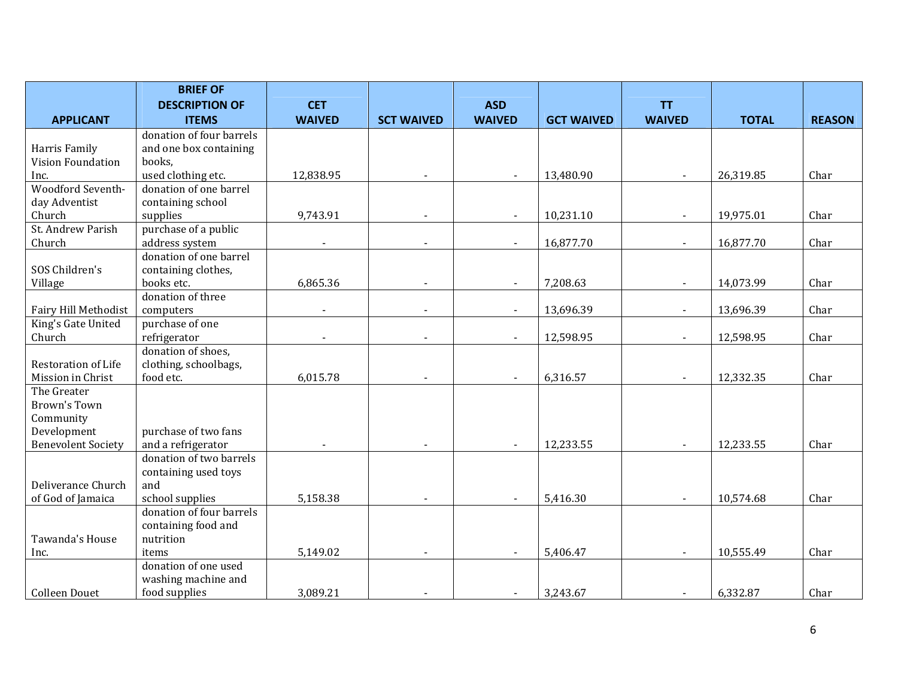|                             | <b>BRIEF OF</b>                             |                          |                   |                          |                   |                |              |               |
|-----------------------------|---------------------------------------------|--------------------------|-------------------|--------------------------|-------------------|----------------|--------------|---------------|
|                             | <b>DESCRIPTION OF</b>                       | <b>CET</b>               |                   | <b>ASD</b>               |                   | <b>TT</b>      |              |               |
| <b>APPLICANT</b>            | <b>ITEMS</b>                                | <b>WAIVED</b>            | <b>SCT WAIVED</b> | <b>WAIVED</b>            | <b>GCT WAIVED</b> | <b>WAIVED</b>  | <b>TOTAL</b> | <b>REASON</b> |
|                             | donation of four barrels                    |                          |                   |                          |                   |                |              |               |
| Harris Family               | and one box containing                      |                          |                   |                          |                   |                |              |               |
| Vision Foundation           | books,                                      |                          |                   |                          |                   |                |              |               |
| Inc.                        | used clothing etc.                          | 12,838.95                |                   |                          | 13,480.90         |                | 26,319.85    | Char          |
| Woodford Seventh-           | donation of one barrel                      |                          |                   |                          |                   |                |              |               |
| day Adventist               | containing school                           |                          |                   |                          |                   |                |              |               |
| Church                      | supplies                                    | 9,743.91                 | $\blacksquare$    | $\overline{\phantom{a}}$ | 10,231.10         | $\blacksquare$ | 19,975.01    | Char          |
| St. Andrew Parish           | purchase of a public                        |                          |                   |                          |                   |                |              |               |
| Church                      | address system                              | $\overline{\phantom{a}}$ | $\blacksquare$    | $\sim$                   | 16,877.70         | $\blacksquare$ | 16,877.70    | Char          |
|                             | donation of one barrel                      |                          |                   |                          |                   |                |              |               |
| SOS Children's              | containing clothes,                         |                          |                   |                          |                   |                |              |               |
| Village                     | books etc.                                  | 6,865.36                 |                   |                          | 7,208.63          |                | 14,073.99    | Char          |
|                             | donation of three                           |                          |                   |                          |                   |                |              |               |
| <b>Fairy Hill Methodist</b> | computers                                   |                          |                   |                          | 13,696.39         |                | 13,696.39    | Char          |
| King's Gate United          | purchase of one                             |                          |                   |                          |                   |                |              |               |
| Church                      | refrigerator                                |                          |                   |                          | 12,598.95         |                | 12,598.95    | Char          |
|                             | donation of shoes,                          |                          |                   |                          |                   |                |              |               |
| <b>Restoration of Life</b>  | clothing, schoolbags,                       |                          |                   |                          |                   |                |              |               |
| Mission in Christ           | food etc.                                   | 6,015.78                 |                   |                          | 6,316.57          |                | 12,332.35    | Char          |
| The Greater                 |                                             |                          |                   |                          |                   |                |              |               |
| <b>Brown's Town</b>         |                                             |                          |                   |                          |                   |                |              |               |
| Community                   |                                             |                          |                   |                          |                   |                |              |               |
| Development                 | purchase of two fans                        |                          |                   |                          |                   |                |              |               |
| <b>Benevolent Society</b>   | and a refrigerator                          |                          |                   |                          | 12,233.55         |                | 12,233.55    | Char          |
|                             | donation of two barrels                     |                          |                   |                          |                   |                |              |               |
| Deliverance Church          | containing used toys                        |                          |                   |                          |                   |                |              |               |
|                             | and                                         | 5,158.38                 |                   |                          | 5,416.30          |                |              | Char          |
| of God of Jamaica           | school supplies<br>donation of four barrels |                          |                   | $\blacksquare$           |                   | $\blacksquare$ | 10,574.68    |               |
|                             | containing food and                         |                          |                   |                          |                   |                |              |               |
| Tawanda's House             | nutrition                                   |                          |                   |                          |                   |                |              |               |
|                             | items                                       | 5,149.02                 |                   |                          | 5,406.47          |                | 10,555.49    | Char          |
| Inc.                        | donation of one used                        |                          |                   |                          |                   |                |              |               |
|                             | washing machine and                         |                          |                   |                          |                   |                |              |               |
| <b>Colleen Douet</b>        | food supplies                               | 3,089.21                 |                   |                          | 3,243.67          | $\blacksquare$ | 6,332.87     | Char          |
|                             |                                             |                          |                   |                          |                   |                |              |               |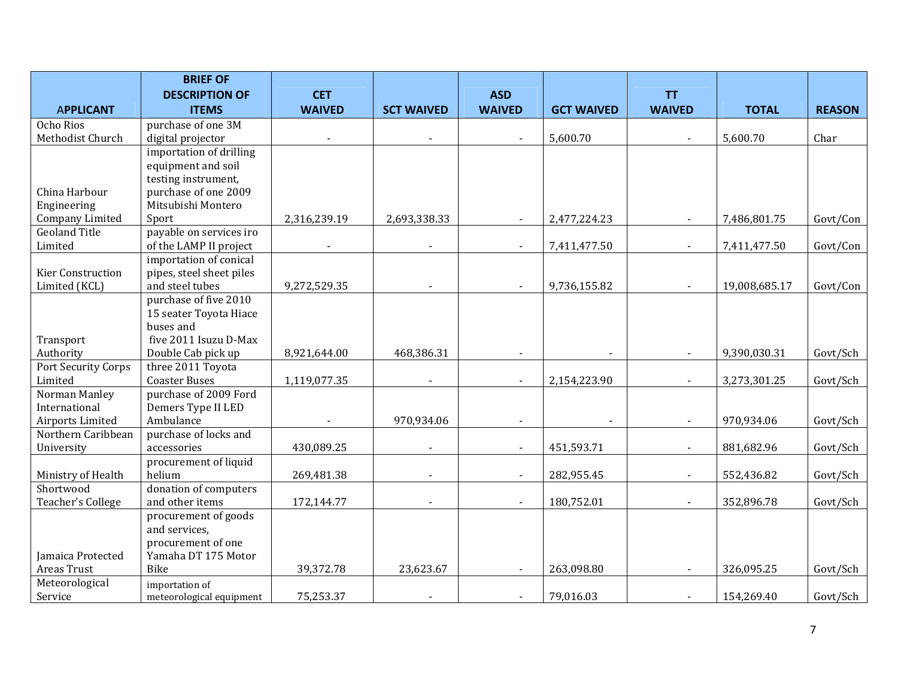|                                    | <b>BRIEF OF</b>                                  |               |                   |                |                   |                |               |               |
|------------------------------------|--------------------------------------------------|---------------|-------------------|----------------|-------------------|----------------|---------------|---------------|
|                                    | <b>DESCRIPTION OF</b>                            | <b>CET</b>    |                   | <b>ASD</b>     |                   | <b>TT</b>      |               |               |
| <b>APPLICANT</b>                   | <b>ITEMS</b>                                     | <b>WAIVED</b> | <b>SCT WAIVED</b> | <b>WAIVED</b>  | <b>GCT WAIVED</b> | <b>WAIVED</b>  | <b>TOTAL</b>  | <b>REASON</b> |
| Ocho Rios                          | purchase of one 3M                               |               |                   |                |                   |                |               |               |
| Methodist Church                   | digital projector                                |               |                   |                | 5,600.70          |                | 5,600.70      | Char          |
|                                    | importation of drilling                          |               |                   |                |                   |                |               |               |
|                                    | equipment and soil                               |               |                   |                |                   |                |               |               |
|                                    | testing instrument,                              |               |                   |                |                   |                |               |               |
| China Harbour                      | purchase of one 2009                             |               |                   |                |                   |                |               |               |
| Engineering                        | Mitsubishi Montero                               |               |                   |                |                   |                |               |               |
| Company Limited                    | Sport                                            | 2,316,239.19  | 2,693,338.33      |                | 2,477,224.23      |                | 7,486,801.75  | Govt/Con      |
| <b>Geoland Title</b>               | payable on services iro                          |               |                   |                |                   |                |               |               |
| Limited                            | of the LAMP II project<br>importation of conical |               |                   |                | 7,411,477.50      |                | 7,411,477.50  | Govt/Con      |
|                                    | pipes, steel sheet piles                         |               |                   |                |                   |                |               |               |
| Kier Construction<br>Limited (KCL) | and steel tubes                                  | 9,272,529.35  | $\sim$            | $\blacksquare$ | 9,736,155.82      | $\blacksquare$ | 19,008,685.17 | Govt/Con      |
|                                    | purchase of five 2010                            |               |                   |                |                   |                |               |               |
|                                    | 15 seater Toyota Hiace                           |               |                   |                |                   |                |               |               |
|                                    | buses and                                        |               |                   |                |                   |                |               |               |
| Transport                          | five 2011 Isuzu D-Max                            |               |                   |                |                   |                |               |               |
| Authority                          | Double Cab pick up                               | 8,921,644.00  | 468,386.31        |                |                   |                | 9,390,030.31  | Govt/Sch      |
| Port Security Corps                | three 2011 Toyota                                |               |                   |                |                   |                |               |               |
| Limited                            | <b>Coaster Buses</b>                             | 1,119,077.35  |                   | $\sim$         | 2,154,223.90      |                | 3,273,301.25  | Govt/Sch      |
| Norman Manley                      | purchase of 2009 Ford                            |               |                   |                |                   |                |               |               |
| International                      | Demers Type II LED                               |               |                   |                |                   |                |               |               |
| Airports Limited                   | Ambulance                                        |               | 970,934.06        |                |                   |                | 970,934.06    | Govt/Sch      |
| Northern Caribbean                 | purchase of locks and                            |               |                   |                |                   |                |               |               |
| University                         | accessories                                      | 430,089.25    |                   |                | 451,593.71        |                | 881,682.96    | Govt/Sch      |
|                                    | procurement of liquid                            |               |                   |                |                   |                |               |               |
| Ministry of Health                 | helium                                           | 269,481.38    |                   | $\blacksquare$ | 282,955.45        |                | 552,436.82    | Govt/Sch      |
| Shortwood                          | donation of computers                            |               |                   |                |                   |                |               |               |
| Teacher's College                  | and other items                                  | 172,144.77    |                   |                | 180,752.01        |                | 352,896.78    | Govt/Sch      |
|                                    | procurement of goods                             |               |                   |                |                   |                |               |               |
|                                    | and services,                                    |               |                   |                |                   |                |               |               |
| Jamaica Protected                  | procurement of one<br>Yamaha DT 175 Motor        |               |                   |                |                   |                |               |               |
| Areas Trust                        | Bike                                             | 39,372.78     | 23,623.67         |                | 263,098.80        |                | 326,095.25    | Govt/Sch      |
| Meteorological                     |                                                  |               |                   |                |                   |                |               |               |
| Service                            | importation of<br>meteorological equipment       | 75,253.37     |                   | $\blacksquare$ | 79,016.03         |                | 154,269.40    | Govt/Sch      |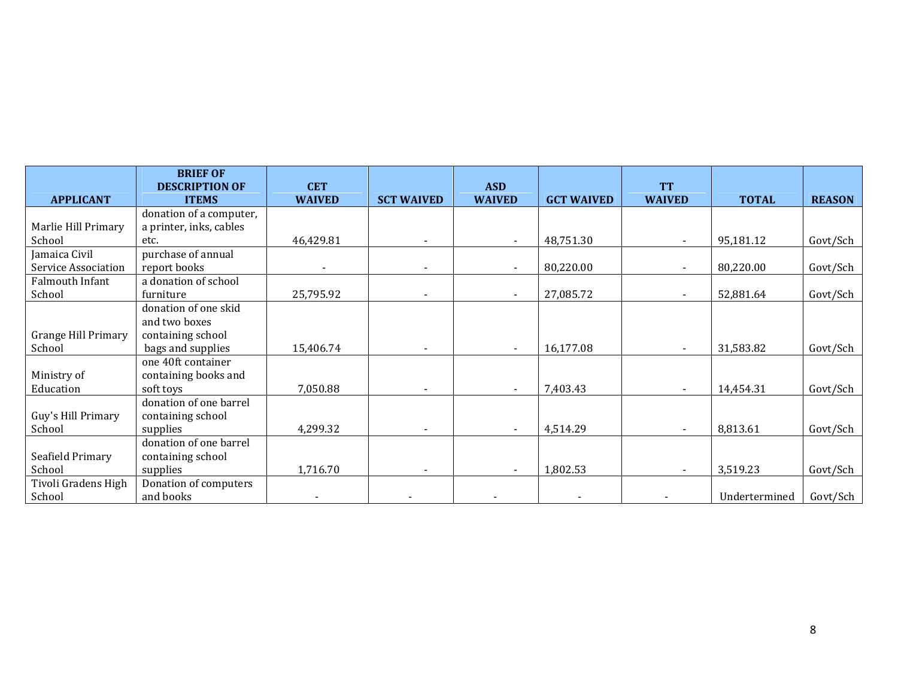|                     | <b>BRIEF OF</b><br><b>DESCRIPTION OF</b> | <b>CET</b>    |                          | <b>ASD</b>    |                   | <b>TT</b>     |               |               |
|---------------------|------------------------------------------|---------------|--------------------------|---------------|-------------------|---------------|---------------|---------------|
| <b>APPLICANT</b>    | <b>ITEMS</b>                             | <b>WAIVED</b> | <b>SCT WAIVED</b>        | <b>WAIVED</b> | <b>GCT WAIVED</b> | <b>WAIVED</b> | <b>TOTAL</b>  | <b>REASON</b> |
|                     | donation of a computer,                  |               |                          |               |                   |               |               |               |
| Marlie Hill Primary | a printer, inks, cables                  |               |                          |               |                   |               |               |               |
| School              | etc.                                     | 46,429.81     |                          |               | 48,751.30         |               | 95,181.12     | Govt/Sch      |
| Jamaica Civil       | purchase of annual                       |               |                          |               |                   |               |               |               |
| Service Association | report books                             |               |                          |               | 80,220.00         |               | 80,220.00     | Govt/Sch      |
| Falmouth Infant     | a donation of school                     |               |                          |               |                   |               |               |               |
| School              | furniture                                | 25,795.92     |                          |               | 27,085.72         |               | 52,881.64     | Govt/Sch      |
|                     | donation of one skid                     |               |                          |               |                   |               |               |               |
|                     | and two boxes                            |               |                          |               |                   |               |               |               |
| Grange Hill Primary | containing school                        |               |                          |               |                   |               |               |               |
| School              | bags and supplies                        | 15,406.74     |                          |               | 16,177.08         |               | 31,583.82     | Govt/Sch      |
|                     | one 40ft container                       |               |                          |               |                   |               |               |               |
| Ministry of         | containing books and                     |               |                          |               |                   |               |               |               |
| Education           | soft toys                                | 7,050.88      | $\overline{\phantom{a}}$ |               | 7,403.43          |               | 14,454.31     | Govt/Sch      |
|                     | donation of one barrel                   |               |                          |               |                   |               |               |               |
| Guy's Hill Primary  | containing school                        |               |                          |               |                   |               |               |               |
| School              | supplies                                 | 4,299.32      |                          |               | 4,514.29          |               | 8,813.61      | Govt/Sch      |
|                     | donation of one barrel                   |               |                          |               |                   |               |               |               |
| Seafield Primary    | containing school                        |               |                          |               |                   |               |               |               |
| School              | supplies                                 | 1,716.70      |                          |               | 1,802.53          |               | 3,519.23      | Govt/Sch      |
| Tivoli Gradens High | Donation of computers                    |               |                          |               |                   |               |               |               |
| School              | and books                                |               |                          |               |                   |               | Undertermined | Govt/Sch      |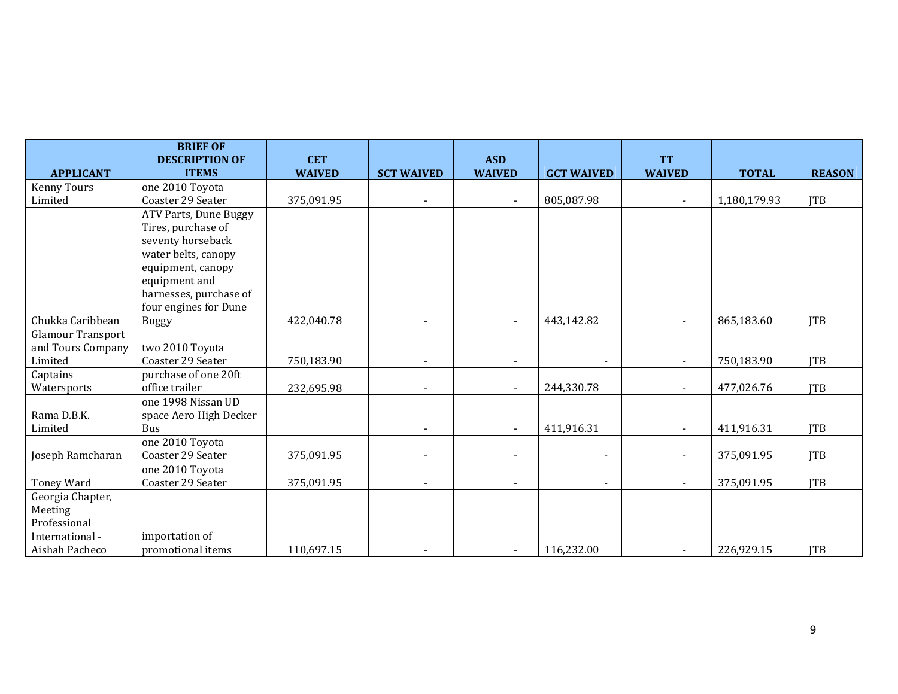|                          | <b>BRIEF OF</b>                       |                             |                   |                             |                   |                            |              |               |
|--------------------------|---------------------------------------|-----------------------------|-------------------|-----------------------------|-------------------|----------------------------|--------------|---------------|
| <b>APPLICANT</b>         | <b>DESCRIPTION OF</b><br><b>ITEMS</b> | <b>CET</b><br><b>WAIVED</b> | <b>SCT WAIVED</b> | <b>ASD</b><br><b>WAIVED</b> | <b>GCT WAIVED</b> | <b>TT</b><br><b>WAIVED</b> | <b>TOTAL</b> | <b>REASON</b> |
| <b>Kenny Tours</b>       | one 2010 Toyota                       |                             |                   |                             |                   |                            |              |               |
| Limited                  | Coaster 29 Seater                     | 375,091.95                  |                   |                             | 805,087.98        |                            | 1,180,179.93 | <b>JTB</b>    |
|                          | ATV Parts, Dune Buggy                 |                             |                   |                             |                   |                            |              |               |
|                          | Tires, purchase of                    |                             |                   |                             |                   |                            |              |               |
|                          | seventy horseback                     |                             |                   |                             |                   |                            |              |               |
|                          | water belts, canopy                   |                             |                   |                             |                   |                            |              |               |
|                          | equipment, canopy                     |                             |                   |                             |                   |                            |              |               |
|                          | equipment and                         |                             |                   |                             |                   |                            |              |               |
|                          | harnesses, purchase of                |                             |                   |                             |                   |                            |              |               |
|                          | four engines for Dune                 |                             |                   |                             |                   |                            |              |               |
| Chukka Caribbean         | <b>Buggy</b>                          | 422,040.78                  |                   |                             | 443,142.82        |                            | 865,183.60   | <b>ITB</b>    |
| <b>Glamour Transport</b> |                                       |                             |                   |                             |                   |                            |              |               |
| and Tours Company        | two 2010 Toyota                       |                             |                   |                             |                   |                            |              |               |
| Limited                  | Coaster 29 Seater                     | 750,183.90                  |                   |                             |                   |                            | 750,183.90   | <b>ITB</b>    |
| Captains                 | purchase of one 20ft                  |                             |                   |                             |                   |                            |              |               |
| Watersports              | office trailer                        | 232,695.98                  |                   |                             | 244,330.78        |                            | 477,026.76   | <b>JTB</b>    |
|                          | one 1998 Nissan UD                    |                             |                   |                             |                   |                            |              |               |
| Rama D.B.K.              | space Aero High Decker                |                             |                   |                             |                   |                            |              |               |
| Limited                  | Bus                                   |                             |                   |                             | 411,916.31        |                            | 411,916.31   | <b>JTB</b>    |
|                          | one 2010 Toyota                       |                             |                   |                             |                   |                            |              |               |
| Joseph Ramcharan         | Coaster 29 Seater                     | 375,091.95                  |                   |                             |                   |                            | 375,091.95   | <b>ITB</b>    |
|                          | one 2010 Toyota                       |                             |                   |                             |                   |                            |              |               |
| Toney Ward               | Coaster 29 Seater                     | 375,091.95                  |                   |                             |                   |                            | 375,091.95   | <b>ITB</b>    |
| Georgia Chapter,         |                                       |                             |                   |                             |                   |                            |              |               |
| Meeting                  |                                       |                             |                   |                             |                   |                            |              |               |
| Professional             |                                       |                             |                   |                             |                   |                            |              |               |
| International -          | importation of                        |                             |                   |                             |                   |                            |              |               |
| Aishah Pacheco           | promotional items                     | 110,697.15                  |                   |                             | 116,232.00        |                            | 226,929.15   | <b>ITB</b>    |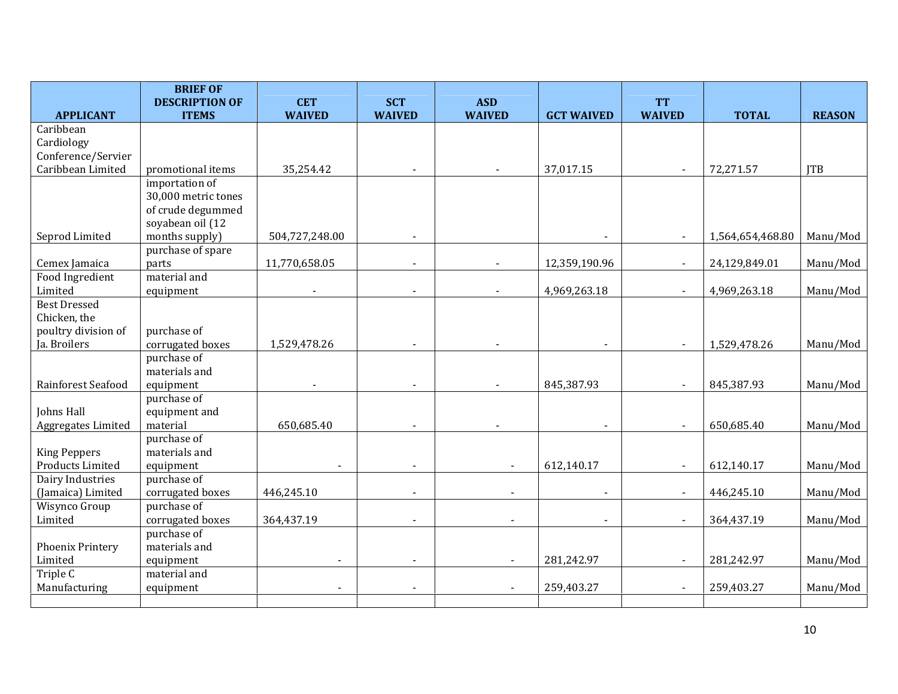|                                         | <b>BRIEF OF</b><br><b>DESCRIPTION OF</b> | <b>CET</b>     | <b>SCT</b>               | <b>ASD</b>    |                          | <b>TT</b>      |                  |               |
|-----------------------------------------|------------------------------------------|----------------|--------------------------|---------------|--------------------------|----------------|------------------|---------------|
| <b>APPLICANT</b>                        | <b>ITEMS</b>                             | <b>WAIVED</b>  | <b>WAIVED</b>            | <b>WAIVED</b> | <b>GCT WAIVED</b>        | <b>WAIVED</b>  | <b>TOTAL</b>     | <b>REASON</b> |
| Caribbean                               |                                          |                |                          |               |                          |                |                  |               |
| Cardiology                              |                                          |                |                          |               |                          |                |                  |               |
| Conference/Servier                      |                                          |                |                          |               |                          |                |                  |               |
| Caribbean Limited                       | promotional items                        | 35,254.42      |                          |               | 37,017.15                | $\blacksquare$ | 72,271.57        | <b>ITB</b>    |
|                                         | importation of                           |                |                          |               |                          |                |                  |               |
|                                         | 30,000 metric tones                      |                |                          |               |                          |                |                  |               |
|                                         | of crude degummed                        |                |                          |               |                          |                |                  |               |
|                                         | soyabean oil (12                         |                |                          |               |                          |                |                  |               |
| Seprod Limited                          | months supply)                           | 504,727,248.00 |                          |               |                          | $\blacksquare$ | 1,564,654,468.80 | Manu/Mod      |
|                                         | purchase of spare                        |                |                          |               |                          |                |                  |               |
| Cemex Jamaica                           | parts                                    | 11,770,658.05  | $\overline{\phantom{a}}$ |               | 12,359,190.96            | $\sim$         | 24,129,849.01    | Manu/Mod      |
| Food Ingredient                         | material and                             |                |                          |               |                          |                |                  |               |
| Limited                                 | equipment                                |                |                          |               | 4,969,263.18             | $\blacksquare$ | 4,969,263.18     | Manu/Mod      |
| <b>Best Dressed</b>                     |                                          |                |                          |               |                          |                |                  |               |
| Chicken, the                            |                                          |                |                          |               |                          |                |                  |               |
| poultry division of                     | purchase of                              |                |                          |               |                          |                |                  |               |
| Ja. Broilers                            | corrugated boxes                         | 1,529,478.26   | $\blacksquare$           |               | $\overline{\phantom{a}}$ | $\blacksquare$ | 1,529,478.26     | Manu/Mod      |
|                                         | purchase of                              |                |                          |               |                          |                |                  |               |
|                                         | materials and                            |                |                          |               |                          |                |                  |               |
| Rainforest Seafood                      | equipment                                |                |                          |               | 845,387.93               | $\sim$         | 845,387.93       | Manu/Mod      |
|                                         | purchase of                              |                |                          |               |                          |                |                  |               |
| <b>Johns Hall</b>                       | equipment and                            |                |                          |               |                          |                |                  |               |
| Aggregates Limited                      | material                                 | 650,685.40     |                          |               |                          | $\blacksquare$ | 650,685.40       | Manu/Mod      |
|                                         | purchase of<br>materials and             |                |                          |               |                          |                |                  |               |
| <b>King Peppers</b><br>Products Limited |                                          |                |                          |               |                          | $\blacksquare$ |                  | Manu/Mod      |
| Dairy Industries                        | equipment<br>purchase of                 |                |                          |               | 612,140.17               |                | 612,140.17       |               |
| (Jamaica) Limited                       | corrugated boxes                         | 446,245.10     | $\overline{\phantom{a}}$ |               | $\blacksquare$           | $\blacksquare$ | 446,245.10       | Manu/Mod      |
| Wisynco Group                           | purchase of                              |                |                          |               |                          |                |                  |               |
| Limited                                 | corrugated boxes                         | 364,437.19     |                          |               | $\blacksquare$           | $\blacksquare$ | 364,437.19       | Manu/Mod      |
|                                         | purchase of                              |                |                          |               |                          |                |                  |               |
| Phoenix Printery                        | materials and                            |                |                          |               |                          |                |                  |               |
| Limited                                 | equipment                                | $\blacksquare$ |                          |               | 281,242.97               | $\blacksquare$ | 281,242.97       | Manu/Mod      |
| Triple $C$                              | material and                             |                |                          |               |                          |                |                  |               |
| Manufacturing                           | equipment                                |                | $\overline{\phantom{a}}$ |               | 259,403.27               | $\blacksquare$ | 259,403.27       | Manu/Mod      |
|                                         |                                          |                |                          |               |                          |                |                  |               |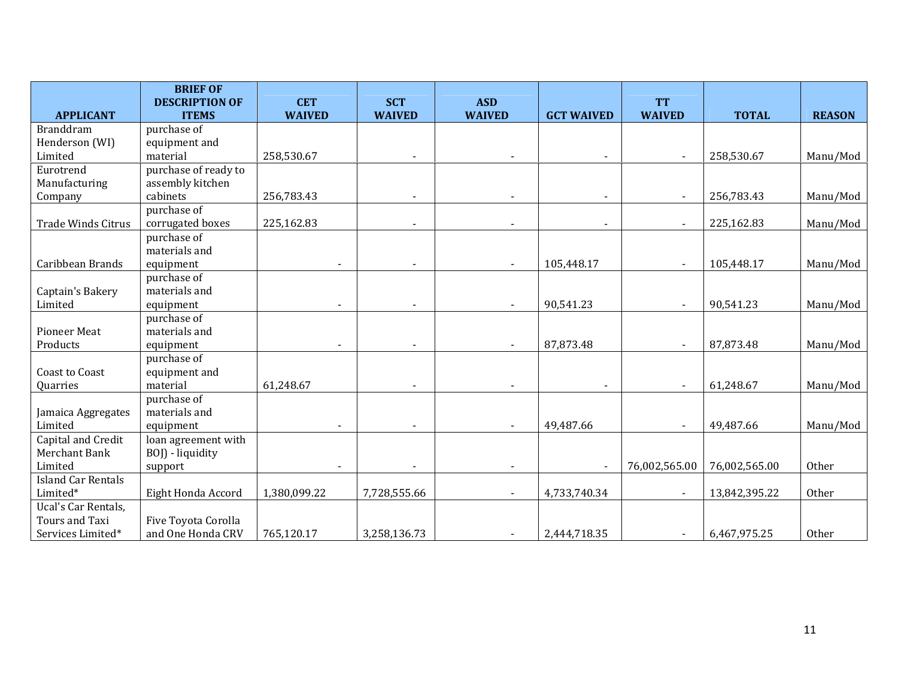|                           | <b>BRIEF OF</b>       |                |                          |               |                          |                          |               |               |
|---------------------------|-----------------------|----------------|--------------------------|---------------|--------------------------|--------------------------|---------------|---------------|
|                           | <b>DESCRIPTION OF</b> | <b>CET</b>     | <b>SCT</b>               | <b>ASD</b>    |                          | <b>TT</b>                |               |               |
| <b>APPLICANT</b>          | <b>ITEMS</b>          | <b>WAIVED</b>  | <b>WAIVED</b>            | <b>WAIVED</b> | <b>GCT WAIVED</b>        | <b>WAIVED</b>            | <b>TOTAL</b>  | <b>REASON</b> |
| <b>Branddram</b>          | purchase of           |                |                          |               |                          |                          |               |               |
| Henderson (WI)            | equipment and         |                |                          |               |                          |                          |               |               |
| Limited                   | material              | 258,530.67     |                          |               |                          |                          | 258,530.67    | Manu/Mod      |
| Eurotrend                 | purchase of ready to  |                |                          |               |                          |                          |               |               |
| Manufacturing             | assembly kitchen      |                |                          |               |                          |                          |               |               |
| Company                   | cabinets              | 256,783.43     | $\overline{\phantom{a}}$ |               | $\blacksquare$           | $\overline{\phantom{a}}$ | 256,783.43    | Manu/Mod      |
|                           | purchase of           |                |                          |               |                          |                          |               |               |
| <b>Trade Winds Citrus</b> | corrugated boxes      | 225,162.83     |                          |               | $\overline{\phantom{a}}$ | $\blacksquare$           | 225,162.83    | Manu/Mod      |
|                           | purchase of           |                |                          |               |                          |                          |               |               |
|                           | materials and         |                |                          |               |                          |                          |               |               |
| Caribbean Brands          | equipment             |                | $\overline{\phantom{a}}$ |               | 105,448.17               | $\blacksquare$           | 105,448.17    | Manu/Mod      |
|                           | purchase of           |                |                          |               |                          |                          |               |               |
| Captain's Bakery          | materials and         |                |                          |               |                          |                          |               |               |
| Limited                   | equipment             |                |                          |               | 90,541.23                | $\sim$                   | 90,541.23     | Manu/Mod      |
|                           | purchase of           |                |                          |               |                          |                          |               |               |
| <b>Pioneer Meat</b>       | materials and         |                |                          |               |                          |                          |               |               |
| Products                  | equipment             |                |                          |               | 87,873.48                | $\sim$                   | 87,873.48     | Manu/Mod      |
|                           | purchase of           |                |                          |               |                          |                          |               |               |
| Coast to Coast            | equipment and         |                |                          |               |                          |                          |               |               |
| Quarries                  | material              | 61,248.67      |                          |               |                          | $\blacksquare$           | 61,248.67     | Manu/Mod      |
|                           | purchase of           |                |                          |               |                          |                          |               |               |
| Jamaica Aggregates        | materials and         |                |                          |               |                          |                          |               |               |
| Limited                   | equipment             | $\blacksquare$ |                          |               | 49,487.66                | $\sim$                   | 49,487.66     | Manu/Mod      |
| Capital and Credit        | loan agreement with   |                |                          |               |                          |                          |               |               |
| Merchant Bank             | BOJ) - liquidity      |                |                          |               |                          |                          |               |               |
| Limited                   | support               |                |                          |               |                          | 76,002,565.00            | 76,002,565.00 | Other         |
| <b>Island Car Rentals</b> |                       |                |                          |               |                          |                          |               |               |
| Limited*                  | Eight Honda Accord    | 1,380,099.22   | 7,728,555.66             | $\sim$        | 4,733,740.34             | $\blacksquare$           | 13,842,395.22 | <b>Other</b>  |
| Ucal's Car Rentals,       |                       |                |                          |               |                          |                          |               |               |
| Tours and Taxi            | Five Toyota Corolla   |                |                          |               |                          |                          |               |               |
| Services Limited*         | and One Honda CRV     | 765,120.17     | 3,258,136.73             |               | 2,444,718.35             | $\blacksquare$           | 6,467,975.25  | Other         |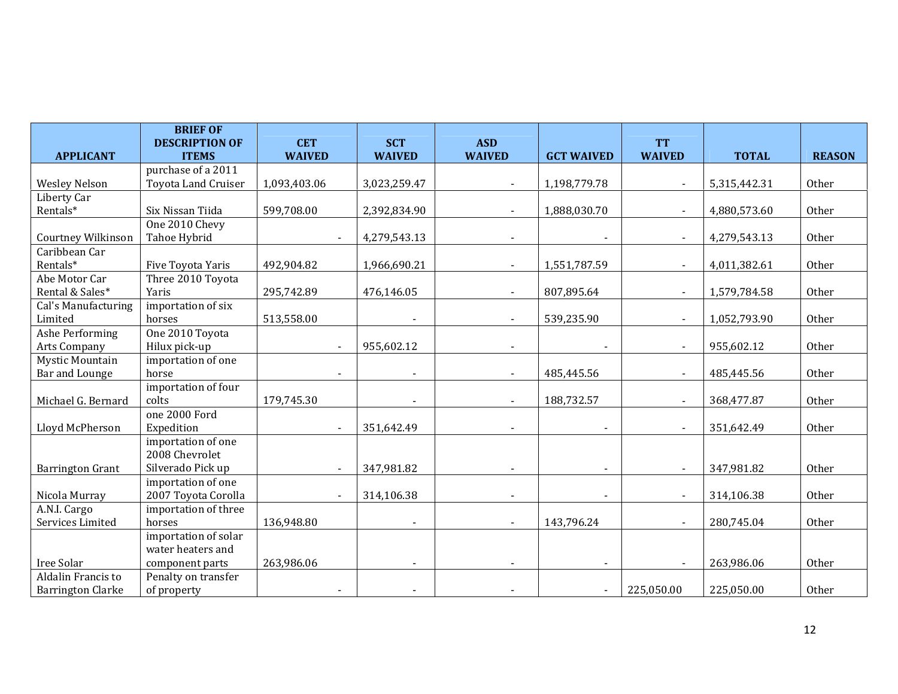|                           | <b>BRIEF OF</b><br><b>DESCRIPTION OF</b> | <b>CET</b>               | <b>SCT</b>               | <b>ASD</b>               |                          | <b>TT</b>                |              |               |
|---------------------------|------------------------------------------|--------------------------|--------------------------|--------------------------|--------------------------|--------------------------|--------------|---------------|
| <b>APPLICANT</b>          | <b>ITEMS</b>                             | <b>WAIVED</b>            | <b>WAIVED</b>            | <b>WAIVED</b>            | <b>GCT WAIVED</b>        | <b>WAIVED</b>            | <b>TOTAL</b> | <b>REASON</b> |
|                           | purchase of a 2011                       |                          |                          |                          |                          |                          |              |               |
| <b>Wesley Nelson</b>      | <b>Toyota Land Cruiser</b>               | 1,093,403.06             | 3,023,259.47             |                          | 1,198,779.78             |                          | 5,315,442.31 | Other         |
| Liberty Car               |                                          |                          |                          |                          |                          |                          |              |               |
| Rentals*                  | Six Nissan Tiida                         | 599,708.00               | 2,392,834.90             |                          | 1,888,030.70             | $\overline{\phantom{a}}$ | 4,880,573.60 | Other         |
|                           | One 2010 Chevy                           |                          |                          |                          |                          |                          |              |               |
| <b>Courtney Wilkinson</b> | Tahoe Hybrid                             | $\blacksquare$           | 4,279,543.13             |                          | $\overline{\phantom{a}}$ | $\blacksquare$           | 4,279,543.13 | Other         |
| Caribbean Car             |                                          |                          |                          |                          |                          |                          |              |               |
| Rentals*                  | Five Toyota Yaris                        | 492,904.82               | 1,966,690.21             |                          | 1,551,787.59             | $\overline{\phantom{a}}$ | 4,011,382.61 | Other         |
| Abe Motor Car             | Three 2010 Toyota                        |                          |                          |                          |                          |                          |              |               |
| Rental & Sales*           | Yaris                                    | 295,742.89               | 476,146.05               |                          | 807,895.64               | $\overline{\phantom{a}}$ | 1,579,784.58 | Other         |
| Cal's Manufacturing       | importation of six                       |                          |                          |                          |                          |                          |              |               |
| Limited                   | horses                                   | 513,558.00               |                          |                          | 539,235.90               | $\blacksquare$           | 1,052,793.90 | Other         |
| Ashe Performing           | One 2010 Toyota                          |                          |                          |                          |                          |                          |              |               |
| Arts Company              | Hilux pick-up                            | $\overline{\phantom{a}}$ | 955,602.12               | $\overline{\phantom{a}}$ |                          | $\blacksquare$           | 955,602.12   | Other         |
| <b>Mystic Mountain</b>    | importation of one                       |                          |                          |                          |                          |                          |              |               |
| Bar and Lounge            | horse                                    |                          |                          |                          | 485,445.56               | $\blacksquare$           | 485,445.56   | Other         |
|                           | importation of four                      |                          |                          |                          |                          |                          |              |               |
| Michael G. Bernard        | colts                                    | 179,745.30               | $\blacksquare$           |                          | 188,732.57               | $\blacksquare$           | 368,477.87   | Other         |
|                           | one 2000 Ford                            |                          |                          |                          |                          |                          |              |               |
| Lloyd McPherson           | Expedition                               |                          | 351,642.49               |                          |                          |                          | 351,642.49   | Other         |
|                           | importation of one                       |                          |                          |                          |                          |                          |              |               |
|                           | 2008 Chevrolet                           |                          |                          |                          |                          |                          |              |               |
| <b>Barrington Grant</b>   | Silverado Pick up                        | $\overline{\phantom{a}}$ | 347,981.82               | $\blacksquare$           |                          | $\overline{\phantom{a}}$ | 347,981.82   | Other         |
|                           | importation of one                       |                          |                          |                          |                          |                          |              |               |
| Nicola Murray             | 2007 Toyota Corolla                      |                          | 314,106.38               |                          |                          |                          | 314,106.38   | Other         |
| A.N.I. Cargo              | importation of three                     |                          |                          |                          |                          |                          |              |               |
| Services Limited          | horses                                   | 136,948.80               | $\blacksquare$           |                          | 143,796.24               | $\sim$                   | 280,745.04   | Other         |
|                           | importation of solar                     |                          |                          |                          |                          |                          |              |               |
|                           | water heaters and                        |                          |                          |                          |                          |                          |              |               |
| Iree Solar                | component parts                          | 263,986.06               |                          |                          |                          | $\overline{\phantom{a}}$ | 263,986.06   | Other         |
| Aldalin Francis to        | Penalty on transfer                      |                          |                          |                          |                          |                          |              |               |
| <b>Barrington Clarke</b>  | of property                              | $\overline{\phantom{a}}$ | $\overline{\phantom{a}}$ |                          | $\blacksquare$           | 225,050.00               | 225,050.00   | Other         |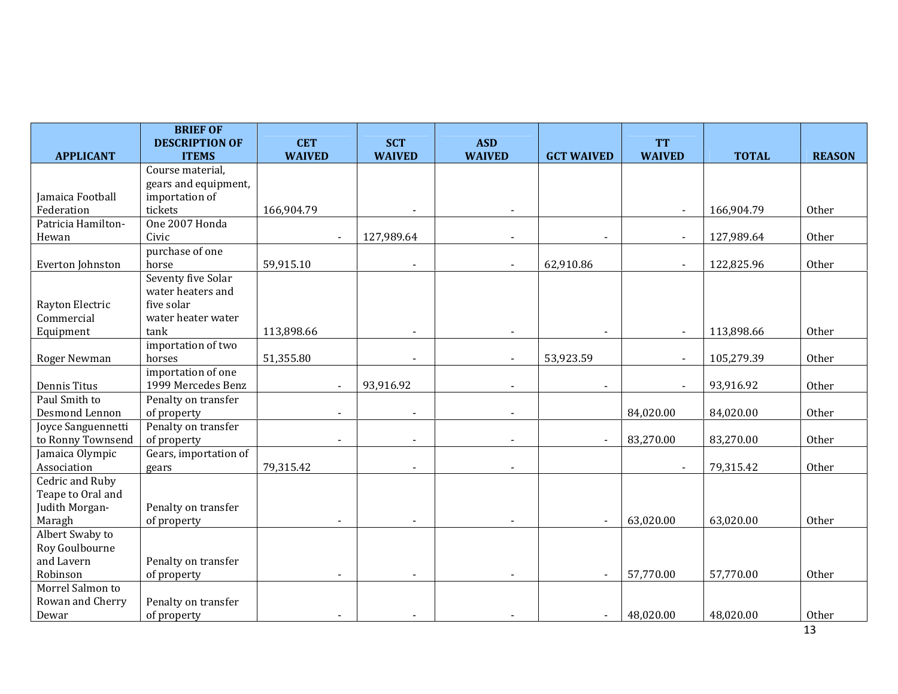|                                | <b>BRIEF OF</b>                  |                          |                          |               |                   |                          |              |               |
|--------------------------------|----------------------------------|--------------------------|--------------------------|---------------|-------------------|--------------------------|--------------|---------------|
|                                | <b>DESCRIPTION OF</b>            | <b>CET</b>               | <b>SCT</b>               | <b>ASD</b>    |                   | <b>TT</b>                |              |               |
| <b>APPLICANT</b>               | <b>ITEMS</b><br>Course material, | <b>WAIVED</b>            | <b>WAIVED</b>            | <b>WAIVED</b> | <b>GCT WAIVED</b> | <b>WAIVED</b>            | <b>TOTAL</b> | <b>REASON</b> |
|                                | gears and equipment,             |                          |                          |               |                   |                          |              |               |
| Jamaica Football               | importation of                   |                          |                          |               |                   |                          |              |               |
| Federation                     | tickets                          | 166,904.79               | $\overline{\phantom{a}}$ |               |                   | $\blacksquare$           | 166,904.79   | Other         |
| Patricia Hamilton-             | One 2007 Honda                   |                          |                          |               |                   |                          |              |               |
| Hewan                          | Civic                            | $\overline{\phantom{a}}$ | 127,989.64               |               |                   | $\blacksquare$           | 127,989.64   | Other         |
|                                | purchase of one                  |                          |                          |               |                   |                          |              |               |
| Everton Johnston               | horse                            | 59,915.10                | $\overline{\phantom{a}}$ |               | 62,910.86         | $\blacksquare$           | 122,825.96   | Other         |
|                                | Seventy five Solar               |                          |                          |               |                   |                          |              |               |
|                                | water heaters and                |                          |                          |               |                   |                          |              |               |
| Rayton Electric                | five solar                       |                          |                          |               |                   |                          |              |               |
| Commercial                     | water heater water               |                          |                          |               |                   |                          |              |               |
| Equipment                      | tank                             | 113,898.66               |                          |               |                   | $\blacksquare$           | 113,898.66   | Other         |
|                                | importation of two               |                          |                          |               |                   |                          |              |               |
| Roger Newman                   | horses                           | 51,355.80                | $\overline{\phantom{a}}$ |               | 53,923.59         | $\overline{\phantom{a}}$ | 105,279.39   | Other         |
|                                | importation of one               |                          |                          |               |                   |                          |              |               |
| Dennis Titus                   | 1999 Mercedes Benz               | $\sim$                   | 93,916.92                |               |                   | $\blacksquare$           | 93,916.92    | Other         |
| Paul Smith to                  | Penalty on transfer              |                          |                          |               |                   |                          |              |               |
| Desmond Lennon                 | of property                      | $\blacksquare$           | $\overline{\phantom{a}}$ |               |                   | 84,020.00                | 84,020.00    | Other         |
| Joyce Sanguennetti             | Penalty on transfer              |                          |                          |               |                   |                          |              |               |
| to Ronny Townsend              | of property                      | $\blacksquare$           |                          |               | $\blacksquare$    | 83,270.00                | 83,270.00    | Other         |
| Jamaica Olympic<br>Association | Gears, importation of            | 79,315.42                | $\overline{\phantom{a}}$ |               |                   |                          | 79,315.42    | Other         |
| Cedric and Ruby                | gears                            |                          |                          |               |                   |                          |              |               |
| Teape to Oral and              |                                  |                          |                          |               |                   |                          |              |               |
| Judith Morgan-                 | Penalty on transfer              |                          |                          |               |                   |                          |              |               |
| Maragh                         | of property                      |                          |                          |               |                   | 63,020.00                | 63,020.00    | Other         |
| Albert Swaby to                |                                  |                          |                          |               |                   |                          |              |               |
| Roy Goulbourne                 |                                  |                          |                          |               |                   |                          |              |               |
| and Lavern                     | Penalty on transfer              |                          |                          |               |                   |                          |              |               |
| Robinson                       | of property                      | $\blacksquare$           |                          |               | $\sim$            | 57,770.00                | 57,770.00    | Other         |
| Morrel Salmon to               |                                  |                          |                          |               |                   |                          |              |               |
| Rowan and Cherry               | Penalty on transfer              |                          |                          |               |                   |                          |              |               |
| Dewar                          | of property                      |                          |                          |               | $\blacksquare$    | 48,020.00                | 48,020.00    | Other         |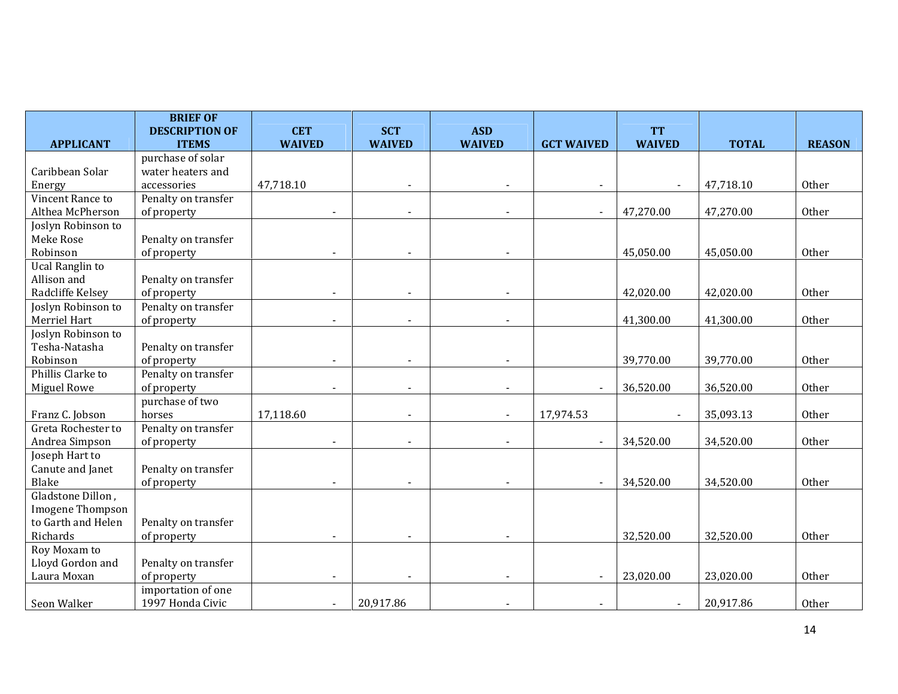|                        | <b>BRIEF OF</b><br><b>DESCRIPTION OF</b> | <b>CET</b>    | <b>SCT</b>               | <b>ASD</b>               |                          | <b>TT</b>      |              |               |
|------------------------|------------------------------------------|---------------|--------------------------|--------------------------|--------------------------|----------------|--------------|---------------|
| <b>APPLICANT</b>       | <b>ITEMS</b>                             | <b>WAIVED</b> | <b>WAIVED</b>            | <b>WAIVED</b>            | <b>GCT WAIVED</b>        | <b>WAIVED</b>  | <b>TOTAL</b> | <b>REASON</b> |
|                        | purchase of solar                        |               |                          |                          |                          |                |              |               |
| Caribbean Solar        | water heaters and                        |               |                          |                          |                          |                |              |               |
| Energy                 | accessories                              | 47,718.10     |                          |                          |                          |                | 47,718.10    | Other         |
| Vincent Rance to       | Penalty on transfer                      |               |                          |                          |                          |                |              |               |
| Althea McPherson       | of property                              |               |                          |                          | $\overline{\phantom{a}}$ | 47,270.00      | 47,270.00    | Other         |
| Joslyn Robinson to     |                                          |               |                          |                          |                          |                |              |               |
| Meke Rose              | Penalty on transfer                      |               |                          |                          |                          |                |              |               |
| Robinson               | of property                              |               |                          |                          |                          | 45,050.00      | 45,050.00    | Other         |
| <b>Ucal Ranglin to</b> |                                          |               |                          |                          |                          |                |              |               |
| Allison and            | Penalty on transfer                      |               |                          |                          |                          |                |              |               |
| Radcliffe Kelsey       | of property                              |               |                          |                          |                          | 42,020.00      | 42,020.00    | Other         |
| Joslyn Robinson to     | Penalty on transfer                      |               |                          |                          |                          |                |              |               |
| Merriel Hart           | of property                              |               | $\overline{\phantom{a}}$ |                          |                          | 41,300.00      | 41,300.00    | Other         |
| Joslyn Robinson to     |                                          |               |                          |                          |                          |                |              |               |
| Tesha-Natasha          | Penalty on transfer                      |               |                          |                          |                          |                |              |               |
| Robinson               | of property                              |               | $\blacksquare$           |                          |                          | 39,770.00      | 39,770.00    | Other         |
| Phillis Clarke to      | Penalty on transfer                      |               |                          |                          |                          |                |              |               |
| <b>Miguel Rowe</b>     | of property                              |               | $\overline{\phantom{a}}$ |                          | $\blacksquare$           | 36,520.00      | 36,520.00    | Other         |
|                        | purchase of two                          |               |                          |                          |                          |                |              |               |
| Franz C. Jobson        | horses                                   | 17,118.60     | $\blacksquare$           | $\overline{\phantom{0}}$ | 17,974.53                | $\blacksquare$ | 35,093.13    | Other         |
| Greta Rochester to     | Penalty on transfer                      |               |                          |                          |                          |                |              |               |
| Andrea Simpson         | of property                              |               | $\overline{\phantom{a}}$ |                          |                          | 34,520.00      | 34,520.00    | Other         |
| Joseph Hart to         |                                          |               |                          |                          |                          |                |              |               |
| Canute and Janet       | Penalty on transfer                      |               |                          |                          |                          |                |              |               |
| Blake                  | of property                              |               |                          |                          |                          | 34,520.00      | 34,520.00    | Other         |
| Gladstone Dillon,      |                                          |               |                          |                          |                          |                |              |               |
| Imogene Thompson       |                                          |               |                          |                          |                          |                |              |               |
| to Garth and Helen     | Penalty on transfer                      |               |                          |                          |                          |                |              |               |
| Richards               | of property                              |               |                          |                          |                          | 32,520.00      | 32,520.00    | Other         |
| Roy Moxam to           |                                          |               |                          |                          |                          |                |              |               |
| Lloyd Gordon and       | Penalty on transfer                      |               |                          |                          |                          |                |              |               |
| Laura Moxan            | of property                              |               |                          |                          |                          | 23,020.00      | 23,020.00    | Other         |
|                        | importation of one                       |               |                          |                          |                          |                |              |               |
| Seon Walker            | 1997 Honda Civic                         |               | 20,917.86                |                          |                          |                | 20,917.86    | Other         |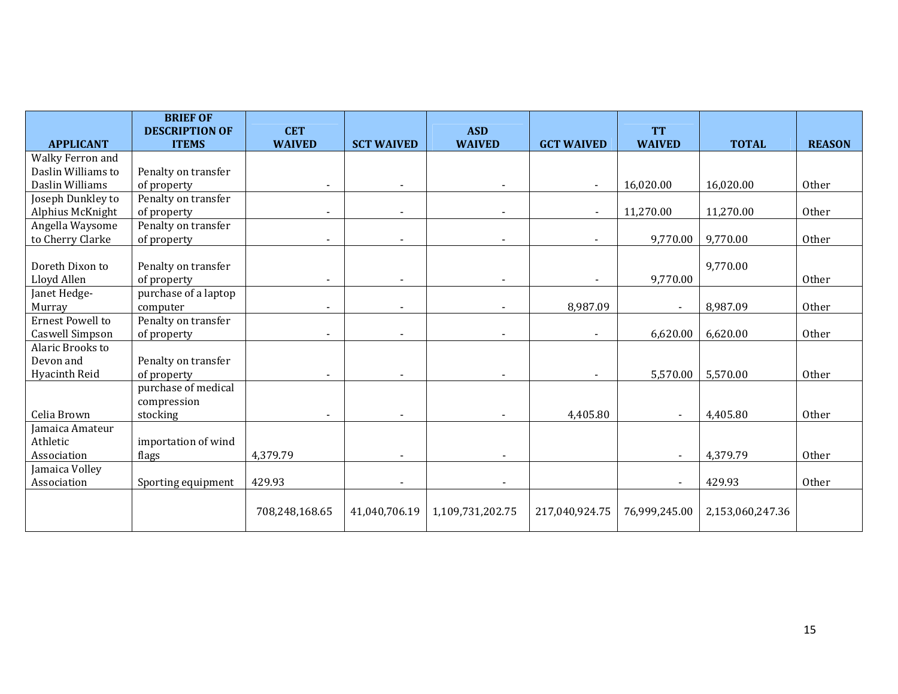|                    | <b>BRIEF OF</b>                       |                             |                   |                             |                   | <b>TT</b>      |                  |               |
|--------------------|---------------------------------------|-----------------------------|-------------------|-----------------------------|-------------------|----------------|------------------|---------------|
| <b>APPLICANT</b>   | <b>DESCRIPTION OF</b><br><b>ITEMS</b> | <b>CET</b><br><b>WAIVED</b> | <b>SCT WAIVED</b> | <b>ASD</b><br><b>WAIVED</b> | <b>GCT WAIVED</b> | <b>WAIVED</b>  | <b>TOTAL</b>     | <b>REASON</b> |
| Walky Ferron and   |                                       |                             |                   |                             |                   |                |                  |               |
| Daslin Williams to | Penalty on transfer                   |                             |                   |                             |                   |                |                  |               |
| Daslin Williams    | of property                           |                             |                   |                             |                   | 16,020.00      | 16,020.00        | Other         |
| Joseph Dunkley to  | Penalty on transfer                   |                             |                   |                             |                   |                |                  |               |
| Alphius McKnight   | of property                           |                             |                   |                             |                   | 11,270.00      | 11,270.00        | Other         |
| Angella Waysome    | Penalty on transfer                   |                             |                   |                             |                   |                |                  |               |
| to Cherry Clarke   | of property                           |                             |                   |                             |                   | 9,770.00       | 9,770.00         | Other         |
|                    |                                       |                             |                   |                             |                   |                |                  |               |
| Doreth Dixon to    | Penalty on transfer                   |                             |                   |                             |                   |                | 9,770.00         |               |
| Lloyd Allen        | of property                           |                             |                   |                             |                   | 9,770.00       |                  | Other         |
| Janet Hedge-       | purchase of a laptop                  |                             |                   |                             |                   |                |                  |               |
| Murray             | computer                              |                             |                   |                             | 8,987.09          | $\blacksquare$ | 8,987.09         | Other         |
| Ernest Powell to   | Penalty on transfer                   |                             |                   |                             |                   |                |                  |               |
| Caswell Simpson    | of property                           |                             |                   |                             |                   | 6,620.00       | 6,620.00         | Other         |
| Alaric Brooks to   |                                       |                             |                   |                             |                   |                |                  |               |
| Devon and          | Penalty on transfer                   |                             |                   |                             |                   |                |                  |               |
| Hyacinth Reid      | of property                           |                             |                   |                             |                   | 5,570.00       | 5,570.00         | Other         |
|                    | purchase of medical                   |                             |                   |                             |                   |                |                  |               |
|                    | compression                           |                             |                   |                             |                   |                |                  |               |
| Celia Brown        | stocking                              |                             |                   |                             | 4,405.80          | $\blacksquare$ | 4,405.80         | Other         |
| Jamaica Amateur    |                                       |                             |                   |                             |                   |                |                  |               |
| Athletic           | importation of wind                   |                             |                   |                             |                   |                |                  |               |
| Association        | flags                                 | 4,379.79                    |                   |                             |                   | $\blacksquare$ | 4,379.79         | Other         |
| Jamaica Volley     |                                       |                             |                   |                             |                   |                |                  |               |
| Association        | Sporting equipment                    | 429.93                      |                   |                             |                   |                | 429.93           | Other         |
|                    |                                       | 708,248,168.65              | 41,040,706.19     | 1,109,731,202.75            | 217,040,924.75    | 76,999,245.00  | 2,153,060,247.36 |               |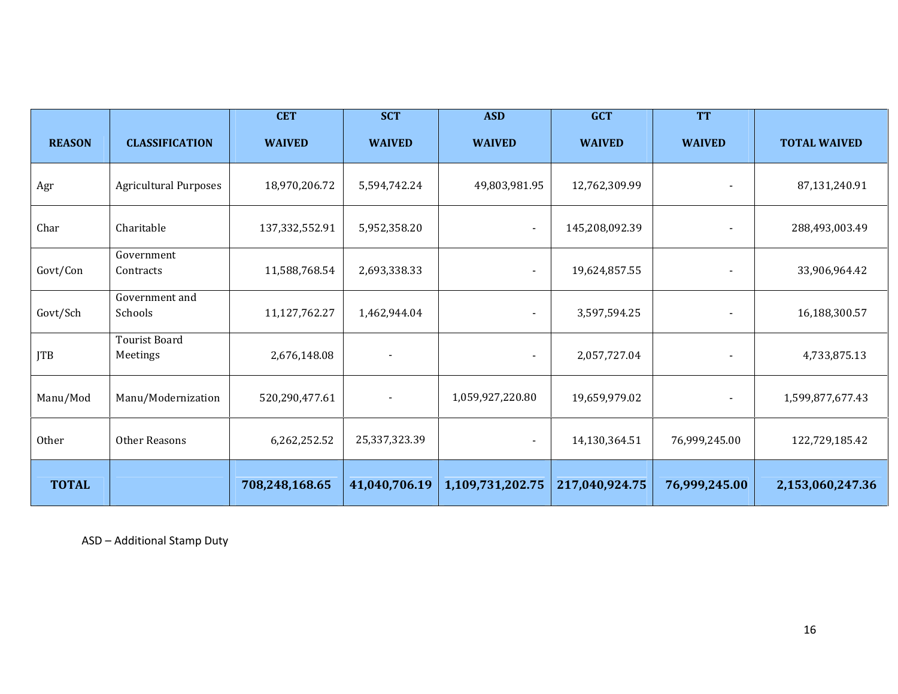|               |                                  | <b>CET</b>     | <b>SCT</b>    | <b>ASD</b>       | <b>GCT</b>     | <b>TT</b>                |                     |
|---------------|----------------------------------|----------------|---------------|------------------|----------------|--------------------------|---------------------|
| <b>REASON</b> | <b>CLASSIFICATION</b>            | <b>WAIVED</b>  | <b>WAIVED</b> | <b>WAIVED</b>    | <b>WAIVED</b>  | <b>WAIVED</b>            | <b>TOTAL WAIVED</b> |
| Agr           | <b>Agricultural Purposes</b>     | 18,970,206.72  | 5,594,742.24  | 49,803,981.95    | 12,762,309.99  | $\blacksquare$           | 87,131,240.91       |
| Char          | Charitable                       | 137,332,552.91 | 5,952,358.20  | $\blacksquare$   | 145,208,092.39 | $\overline{\phantom{a}}$ | 288,493,003.49      |
| Govt/Con      | Government<br>Contracts          | 11,588,768.54  | 2,693,338.33  | $\blacksquare$   | 19,624,857.55  |                          | 33,906,964.42       |
| Govt/Sch      | Government and<br>Schools        | 11,127,762.27  | 1,462,944.04  |                  | 3,597,594.25   |                          | 16,188,300.57       |
| <b>JTB</b>    | <b>Tourist Board</b><br>Meetings | 2,676,148.08   |               |                  | 2,057,727.04   |                          | 4,733,875.13        |
| Manu/Mod      | Manu/Modernization               | 520,290,477.61 |               | 1,059,927,220.80 | 19,659,979.02  | $\overline{\phantom{a}}$ | 1,599,877,677.43    |
| Other         | Other Reasons                    | 6,262,252.52   | 25,337,323.39 | $\blacksquare$   | 14,130,364.51  | 76,999,245.00            | 122,729,185.42      |
| <b>TOTAL</b>  |                                  | 708,248,168.65 | 41,040,706.19 | 1,109,731,202.75 | 217,040,924.75 | 76,999,245.00            | 2,153,060,247.36    |

ASD – Additional Stamp Duty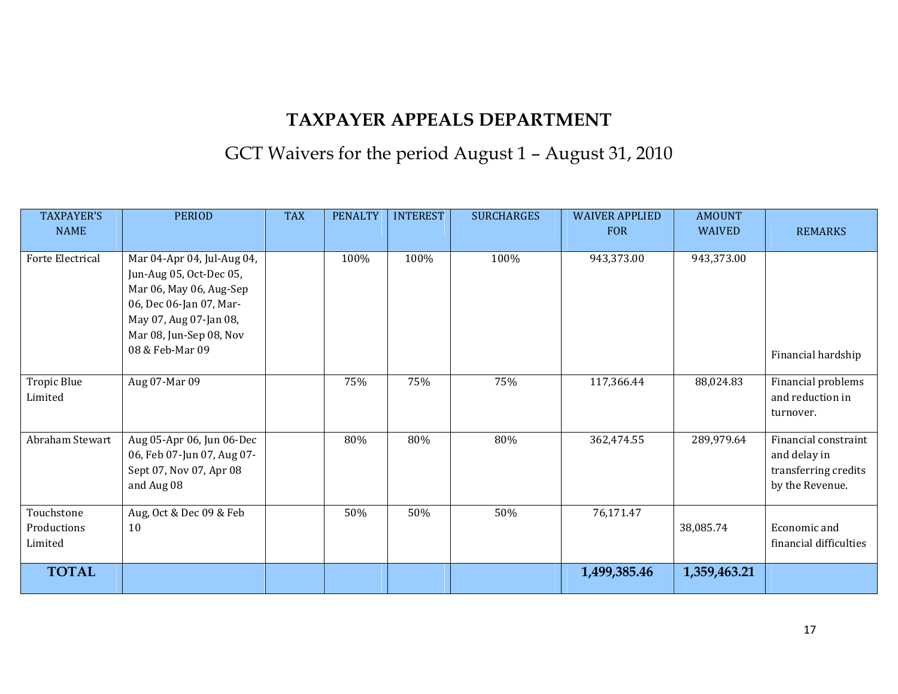# GCT Waivers for the period August 1 – August 31, 2010

| <b>TAXPAYER'S</b><br><b>NAME</b>     | <b>PERIOD</b>                                                                                                                                                                       | <b>TAX</b> | <b>PENALTY</b> | <b>INTEREST</b> | <b>SURCHARGES</b> | <b>WAIVER APPLIED</b><br><b>FOR</b> | <b>AMOUNT</b><br><b>WAIVED</b> | <b>REMARKS</b>                                                                  |
|--------------------------------------|-------------------------------------------------------------------------------------------------------------------------------------------------------------------------------------|------------|----------------|-----------------|-------------------|-------------------------------------|--------------------------------|---------------------------------------------------------------------------------|
| <b>Forte Electrical</b>              | Mar 04-Apr 04, Jul-Aug 04,<br>Jun-Aug 05, Oct-Dec 05,<br>Mar 06, May 06, Aug-Sep<br>06, Dec 06-Jan 07, Mar-<br>May 07, Aug 07-Jan 08,<br>Mar 08, Jun-Sep 08, Nov<br>08 & Feb-Mar 09 |            | 100%           | 100%            | 100%              | 943,373.00                          | 943,373.00                     | Financial hardship                                                              |
| Tropic Blue<br>Limited               | Aug 07-Mar 09                                                                                                                                                                       |            | 75%            | 75%             | 75%               | 117,366.44                          | 88,024.83                      | Financial problems<br>and reduction in<br>turnover.                             |
| Abraham Stewart                      | Aug 05-Apr 06, Jun 06-Dec<br>06, Feb 07-Jun 07, Aug 07-<br>Sept 07, Nov 07, Apr 08<br>and Aug 08                                                                                    |            | 80%            | 80%             | 80%               | 362,474.55                          | 289,979.64                     | Financial constraint<br>and delay in<br>transferring credits<br>by the Revenue. |
| Touchstone<br>Productions<br>Limited | Aug, Oct & Dec 09 & Feb<br>10                                                                                                                                                       |            | 50%            | 50%             | 50%               | 76,171.47                           | 38,085.74                      | Economic and<br>financial difficulties                                          |
| <b>TOTAL</b>                         |                                                                                                                                                                                     |            |                |                 |                   | 1,499,385.46                        | 1,359,463.21                   |                                                                                 |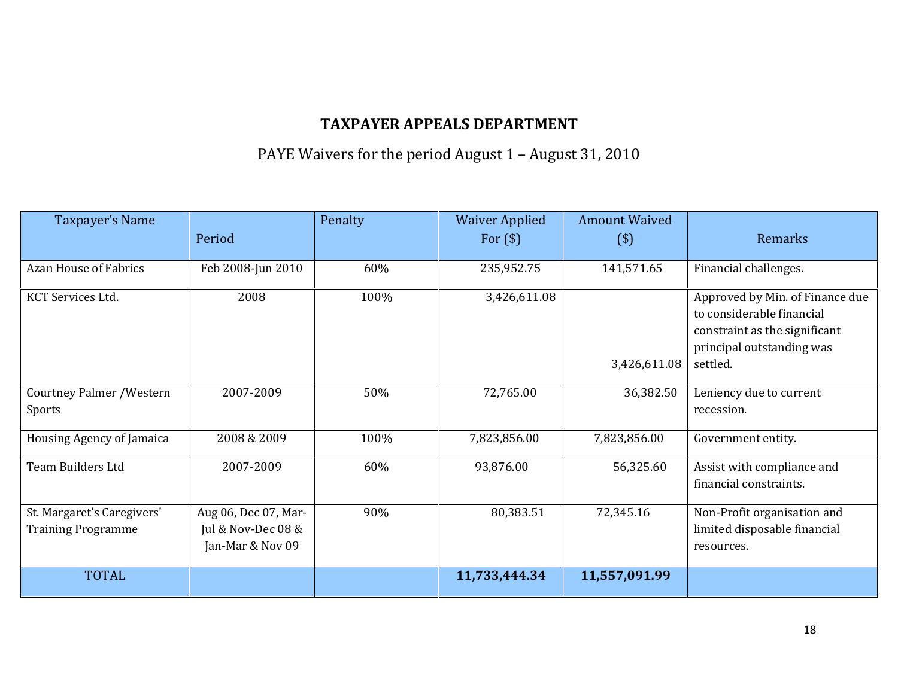PAYE Waivers for the period August 1 – August 31, 2010

| Taxpayer's Name                                         |                                                                  | Penalty | <b>Waiver Applied</b> | <b>Amount Waived</b> |                                                                                                                                        |
|---------------------------------------------------------|------------------------------------------------------------------|---------|-----------------------|----------------------|----------------------------------------------------------------------------------------------------------------------------------------|
|                                                         | Period                                                           |         | For $(\$)$            | $($ \$)              | Remarks                                                                                                                                |
| <b>Azan House of Fabrics</b>                            | Feb 2008-Jun 2010                                                | 60%     | 235,952.75            | 141,571.65           | Financial challenges.                                                                                                                  |
| KCT Services Ltd.                                       | 2008                                                             | 100%    | 3,426,611.08          | 3,426,611.08         | Approved by Min. of Finance due<br>to considerable financial<br>constraint as the significant<br>principal outstanding was<br>settled. |
| <b>Courtney Palmer / Western</b><br>Sports              | 2007-2009                                                        | 50%     | 72,765.00             | 36,382.50            | Leniency due to current<br>recession.                                                                                                  |
| Housing Agency of Jamaica                               | 2008 & 2009                                                      | 100%    | 7,823,856.00          | 7,823,856.00         | Government entity.                                                                                                                     |
| Team Builders Ltd                                       | 2007-2009                                                        | 60%     | 93,876.00             | 56,325.60            | Assist with compliance and<br>financial constraints.                                                                                   |
| St. Margaret's Caregivers'<br><b>Training Programme</b> | Aug 06, Dec 07, Mar-<br>Jul & Nov-Dec $08$ &<br>Jan-Mar & Nov 09 | 90%     | 80,383.51             | 72,345.16            | Non-Profit organisation and<br>limited disposable financial<br>resources.                                                              |
| <b>TOTAL</b>                                            |                                                                  |         | 11,733,444.34         | 11,557,091.99        |                                                                                                                                        |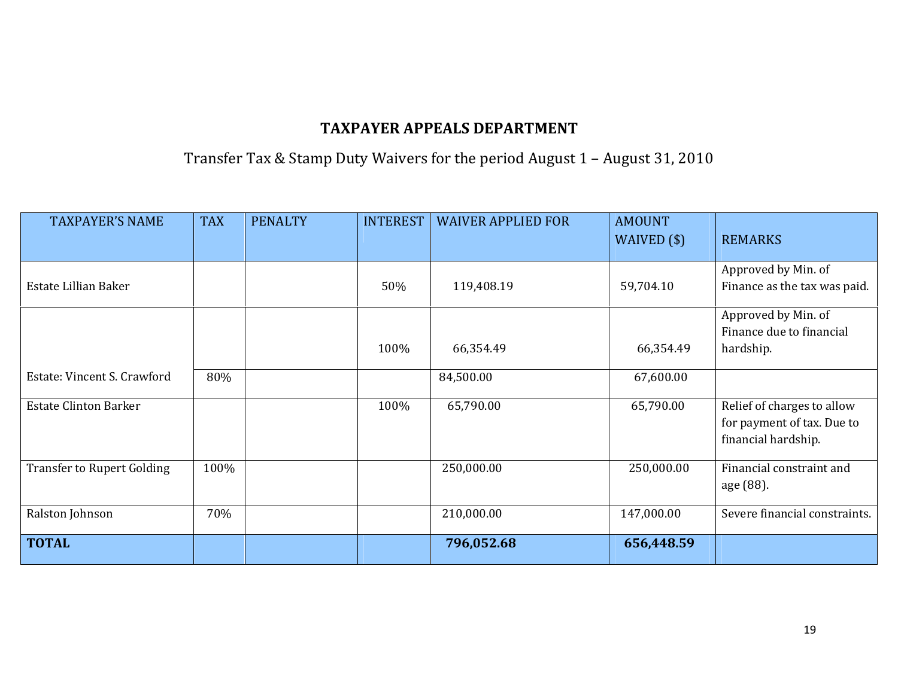#### Transfer Tax & Stamp Duty Waivers for the period August 1 – August 31, 2010

| <b>TAXPAYER'S NAME</b>            | <b>TAX</b> | <b>PENALTY</b> | <b>INTEREST</b> | <b>WAIVER APPLIED FOR</b> | <b>AMOUNT</b><br>WAIVED $(\$)$ | <b>REMARKS</b>                |
|-----------------------------------|------------|----------------|-----------------|---------------------------|--------------------------------|-------------------------------|
|                                   |            |                |                 |                           |                                |                               |
|                                   |            |                |                 |                           |                                | Approved by Min. of           |
| Estate Lillian Baker              |            |                | 50%             | 119,408.19                | 59,704.10                      | Finance as the tax was paid.  |
|                                   |            |                |                 |                           |                                | Approved by Min. of           |
|                                   |            |                |                 |                           |                                | Finance due to financial      |
|                                   |            |                | 100%            | 66,354.49                 | 66,354.49                      | hardship.                     |
| Estate: Vincent S. Crawford       | 80%        |                |                 | 84,500.00                 | 67,600.00                      |                               |
| <b>Estate Clinton Barker</b>      |            |                | 100%            | 65,790.00                 | 65,790.00                      | Relief of charges to allow    |
|                                   |            |                |                 |                           |                                | for payment of tax. Due to    |
|                                   |            |                |                 |                           |                                | financial hardship.           |
| <b>Transfer to Rupert Golding</b> | 100%       |                |                 | 250,000.00                | 250,000.00                     | Financial constraint and      |
|                                   |            |                |                 |                           |                                | age (88).                     |
| Ralston Johnson                   | 70%        |                |                 | 210,000.00                | 147,000.00                     | Severe financial constraints. |
| <b>TOTAL</b>                      |            |                |                 | 796,052.68                | 656,448.59                     |                               |